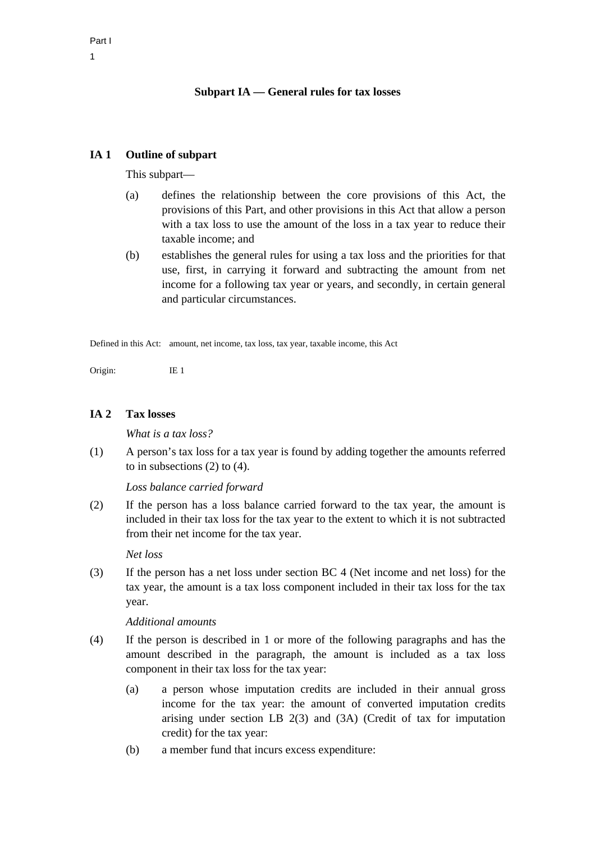# **Subpart IA — General rules for tax losses**

# **IA 1 Outline of subpart**

This subpart—

- (a) defines the relationship between the core provisions of this Act, the provisions of this Part, and other provisions in this Act that allow a person with a tax loss to use the amount of the loss in a tax year to reduce their taxable income; and
- (b) establishes the general rules for using a tax loss and the priorities for that use, first, in carrying it forward and subtracting the amount from net income for a following tax year or years, and secondly, in certain general and particular circumstances.

Defined in this Act: amount, net income, tax loss, tax year, taxable income, this Act

Origin: IE 1

# **IA 2 Tax losses**

*What is a tax loss?* 

(1) A person's tax loss for a tax year is found by adding together the amounts referred to in subsections (2) to (4).

*Loss balance carried forward* 

(2) If the person has a loss balance carried forward to the tax year, the amount is included in their tax loss for the tax year to the extent to which it is not subtracted from their net income for the tax year.

### *Net loss*

(3) If the person has a net loss under section BC 4 (Net income and net loss) for the tax year, the amount is a tax loss component included in their tax loss for the tax year.

### *Additional amounts*

- (4) If the person is described in 1 or more of the following paragraphs and has the amount described in the paragraph, the amount is included as a tax loss component in their tax loss for the tax year:
	- (a) a person whose imputation credits are included in their annual gross income for the tax year: the amount of converted imputation credits arising under section LB 2(3) and (3A) (Credit of tax for imputation credit) for the tax year:
	- (b) a member fund that incurs excess expenditure: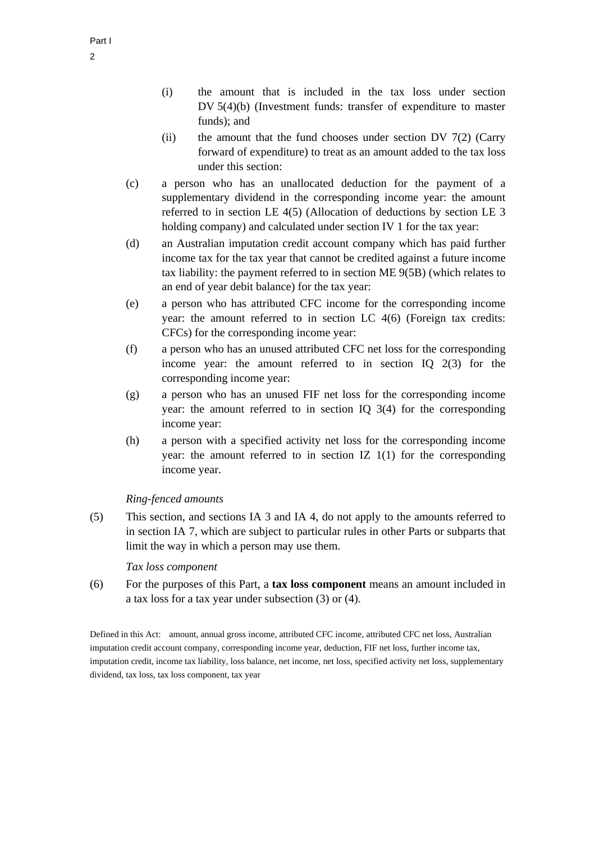- (i) the amount that is included in the tax loss under section DV 5(4)(b) (Investment funds: transfer of expenditure to master funds); and
- (ii) the amount that the fund chooses under section DV  $7(2)$  (Carry forward of expenditure) to treat as an amount added to the tax loss under this section:
- (c) a person who has an unallocated deduction for the payment of a supplementary dividend in the corresponding income year: the amount referred to in section LE 4(5) (Allocation of deductions by section LE 3 holding company) and calculated under section IV 1 for the tax year:
- (d) an Australian imputation credit account company which has paid further income tax for the tax year that cannot be credited against a future income tax liability: the payment referred to in section ME 9(5B) (which relates to an end of year debit balance) for the tax year:
- (e) a person who has attributed CFC income for the corresponding income year: the amount referred to in section LC 4(6) (Foreign tax credits: CFCs) for the corresponding income year:
- (f) a person who has an unused attributed CFC net loss for the corresponding income year: the amount referred to in section IQ 2(3) for the corresponding income year:
- (g) a person who has an unused FIF net loss for the corresponding income year: the amount referred to in section IQ 3(4) for the corresponding income year:
- (h) a person with a specified activity net loss for the corresponding income year: the amount referred to in section IZ 1(1) for the corresponding income year.

# *Ring-fenced amounts*

(5) This section, and sections IA 3 and IA 4, do not apply to the amounts referred to in section IA 7, which are subject to particular rules in other Parts or subparts that limit the way in which a person may use them.

### *Tax loss component*

(6) For the purposes of this Part, a **tax loss component** means an amount included in a tax loss for a tax year under subsection (3) or (4).

Defined in this Act: amount, annual gross income, attributed CFC income, attributed CFC net loss, Australian imputation credit account company, corresponding income year, deduction, FIF net loss, further income tax, imputation credit, income tax liability, loss balance, net income, net loss, specified activity net loss, supplementary dividend, tax loss, tax loss component, tax year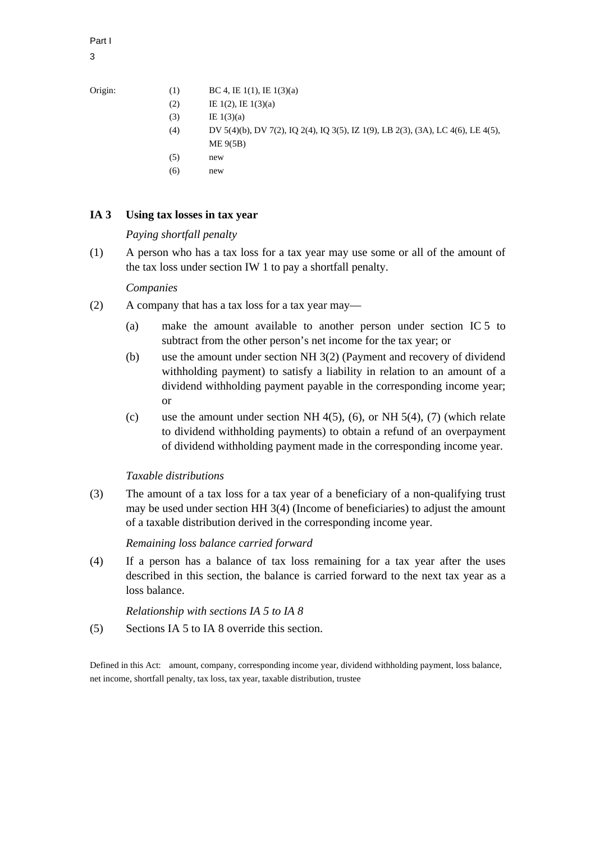Part I 3

Origin:

| (1) | BC 4, IE $1(1)$ , IE $1(3)(a)$ |
|-----|--------------------------------|
|     |                                |

- (2) IE  $1(2)$ , IE  $1(3)(a)$
- $(E 1(3)(a))$
- (4) DV 5(4)(b), DV 7(2), IQ 2(4), IQ 3(5), IZ 1(9), LB 2(3), (3A), LC 4(6), LE 4(5), ME 9(5B)
- $(5)$  new
- 
- $(6)$  new

# **IA 3 Using tax losses in tax year**

# *Paying shortfall penalty*

(1) A person who has a tax loss for a tax year may use some or all of the amount of the tax loss under section IW 1 to pay a shortfall penalty.

# *Companies*

- (2) A company that has a tax loss for a tax year may—
	- (a) make the amount available to another person under section IC 5 to subtract from the other person's net income for the tax year; or
	- (b) use the amount under section NH 3(2) (Payment and recovery of dividend withholding payment) to satisfy a liability in relation to an amount of a dividend withholding payment payable in the corresponding income year; or
	- (c) use the amount under section NH  $4(5)$ ,  $(6)$ , or NH  $5(4)$ ,  $(7)$  (which relate to dividend withholding payments) to obtain a refund of an overpayment of dividend withholding payment made in the corresponding income year.

# *Taxable distributions*

(3) The amount of a tax loss for a tax year of a beneficiary of a non-qualifying trust may be used under section HH 3(4) (Income of beneficiaries) to adjust the amount of a taxable distribution derived in the corresponding income year.

# *Remaining loss balance carried forward*

(4) If a person has a balance of tax loss remaining for a tax year after the uses described in this section, the balance is carried forward to the next tax year as a loss balance.

*Relationship with sections IA 5 to IA 8* 

(5) Sections IA 5 to IA 8 override this section.

Defined in this Act: amount, company, corresponding income year, dividend withholding payment, loss balance, net income, shortfall penalty, tax loss, tax year, taxable distribution, trustee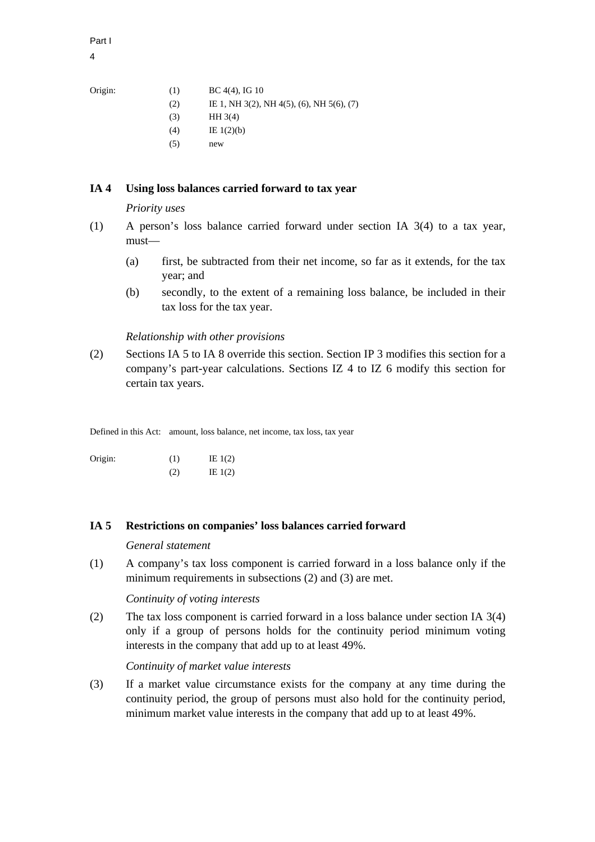Part I 4

Origin:

| Origin: | (1) | $BC 4(4)$ , IG 10                         |
|---------|-----|-------------------------------------------|
|         | (2) | IE 1, NH 3(2), NH 4(5), (6), NH 5(6), (7) |
|         | (3) | HH3(4)                                    |

- $(4)$  IE 1(2)(b)
- $(5)$  new

# **IA 4 Using loss balances carried forward to tax year**

*Priority uses* 

- (1) A person's loss balance carried forward under section IA 3(4) to a tax year, must—
	- (a) first, be subtracted from their net income, so far as it extends, for the tax year; and
	- (b) secondly, to the extent of a remaining loss balance, be included in their tax loss for the tax year.

### *Relationship with other provisions*

(2) Sections IA 5 to IA 8 override this section. Section IP 3 modifies this section for a company's part-year calculations. Sections IZ 4 to IZ 6 modify this section for certain tax years.

Defined in this Act: amount, loss balance, net income, tax loss, tax year

Origin:  $(1)$  IE 1(2)  $(2)$  IE 1(2)

### **IA 5 Restrictions on companies' loss balances carried forward**

*General statement* 

(1) A company's tax loss component is carried forward in a loss balance only if the minimum requirements in subsections (2) and (3) are met.

# *Continuity of voting interests*

(2) The tax loss component is carried forward in a loss balance under section IA 3(4) only if a group of persons holds for the continuity period minimum voting interests in the company that add up to at least 49%.

*Continuity of market value interests* 

(3) If a market value circumstance exists for the company at any time during the continuity period, the group of persons must also hold for the continuity period, minimum market value interests in the company that add up to at least 49%.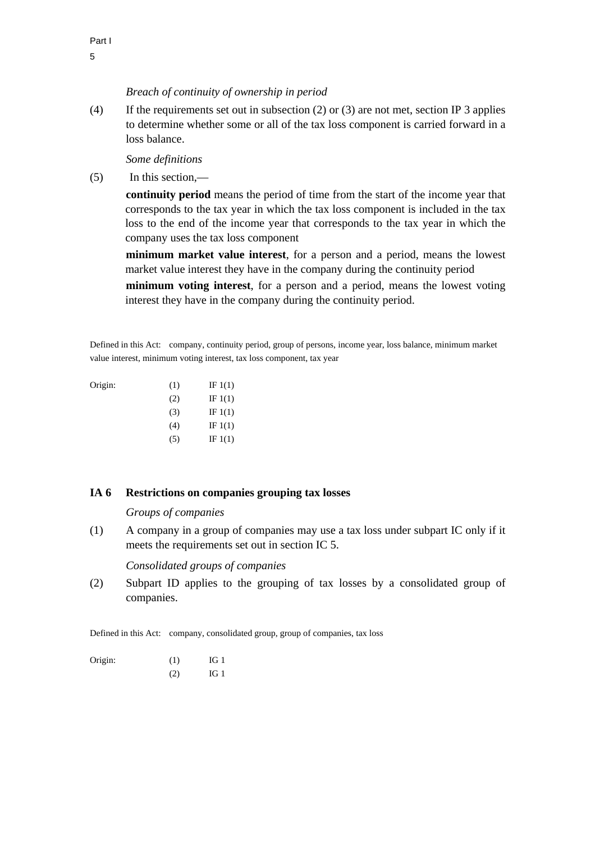### *Breach of continuity of ownership in period*

(4) If the requirements set out in subsection (2) or (3) are not met, section IP 3 applies to determine whether some or all of the tax loss component is carried forward in a loss balance.

*Some definitions* 

(5) In this section,—

**continuity period** means the period of time from the start of the income year that corresponds to the tax year in which the tax loss component is included in the tax loss to the end of the income year that corresponds to the tax year in which the company uses the tax loss component

**minimum market value interest**, for a person and a period, means the lowest market value interest they have in the company during the continuity period **minimum voting interest**, for a person and a period, means the lowest voting interest they have in the company during the continuity period.

Defined in this Act: company, continuity period, group of persons, income year, loss balance, minimum market value interest, minimum voting interest, tax loss component, tax year

| Origin: | (1) | IF $1(1)$ |
|---------|-----|-----------|
|         | (2) | IF $1(1)$ |
|         | (3) | IF $1(1)$ |
|         | (4) | IF $1(1)$ |
|         | (5) | IF $1(1)$ |

### **IA 6 Restrictions on companies grouping tax losses**

*Groups of companies* 

(1) A company in a group of companies may use a tax loss under subpart IC only if it meets the requirements set out in section IC 5.

*Consolidated groups of companies* 

(2) Subpart ID applies to the grouping of tax losses by a consolidated group of companies.

Defined in this Act: company, consolidated group, group of companies, tax loss

| Origin: | (1) | IG <sub>1</sub> |
|---------|-----|-----------------|
|         | (2) | IG <sub>1</sub> |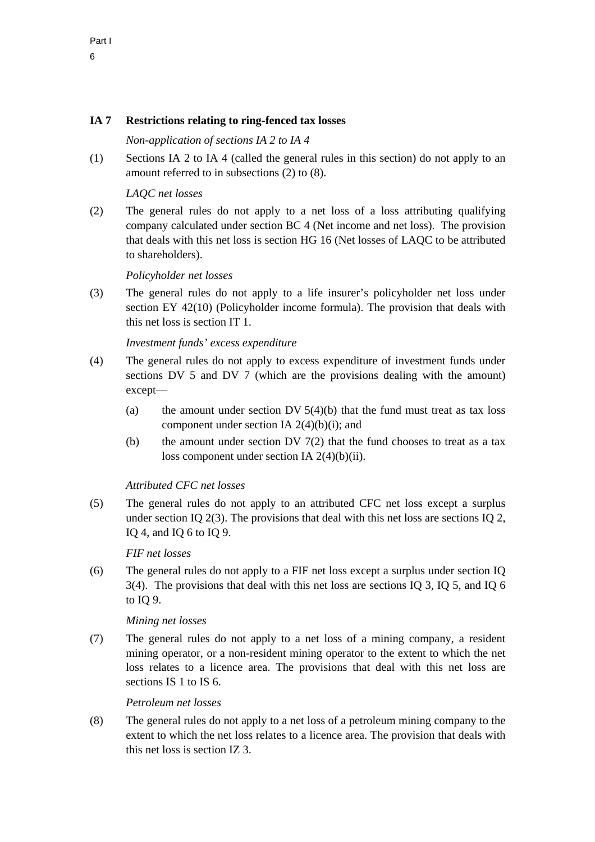# **IA 7 Restrictions relating to ring-fenced tax losses**

# *Non-application of sections IA 2 to IA 4*

(1) Sections IA 2 to IA 4 (called the general rules in this section) do not apply to an amount referred to in subsections (2) to (8).

# *LAQC net losses*

(2) The general rules do not apply to a net loss of a loss attributing qualifying company calculated under section BC 4 (Net income and net loss). The provision that deals with this net loss is section HG 16 (Net losses of LAQC to be attributed to shareholders).

# *Policyholder net losses*

(3) The general rules do not apply to a life insurer's policyholder net loss under section EY 42(10) (Policyholder income formula). The provision that deals with this net loss is section IT 1.

# *Investment funds' excess expenditure*

- (4) The general rules do not apply to excess expenditure of investment funds under sections DV 5 and DV 7 (which are the provisions dealing with the amount) except—
	- (a) the amount under section DV  $5(4)(b)$  that the fund must treat as tax loss component under section IA 2(4)(b)(i); and
	- (b) the amount under section DV  $7(2)$  that the fund chooses to treat as a tax loss component under section IA 2(4)(b)(ii).

# *Attributed CFC net losses*

(5) The general rules do not apply to an attributed CFC net loss except a surplus under section IQ 2(3). The provisions that deal with this net loss are sections IQ 2, IQ 4, and IQ 6 to IQ 9.

# *FIF net losses*

(6) The general rules do not apply to a FIF net loss except a surplus under section IQ 3(4). The provisions that deal with this net loss are sections IQ 3, IQ 5, and IQ 6 to IQ 9.

# *Mining net losses*

(7) The general rules do not apply to a net loss of a mining company, a resident mining operator, or a non-resident mining operator to the extent to which the net loss relates to a licence area. The provisions that deal with this net loss are sections IS 1 to IS 6.

# *Petroleum net losses*

(8) The general rules do not apply to a net loss of a petroleum mining company to the extent to which the net loss relates to a licence area. The provision that deals with this net loss is section IZ 3.

Part I 6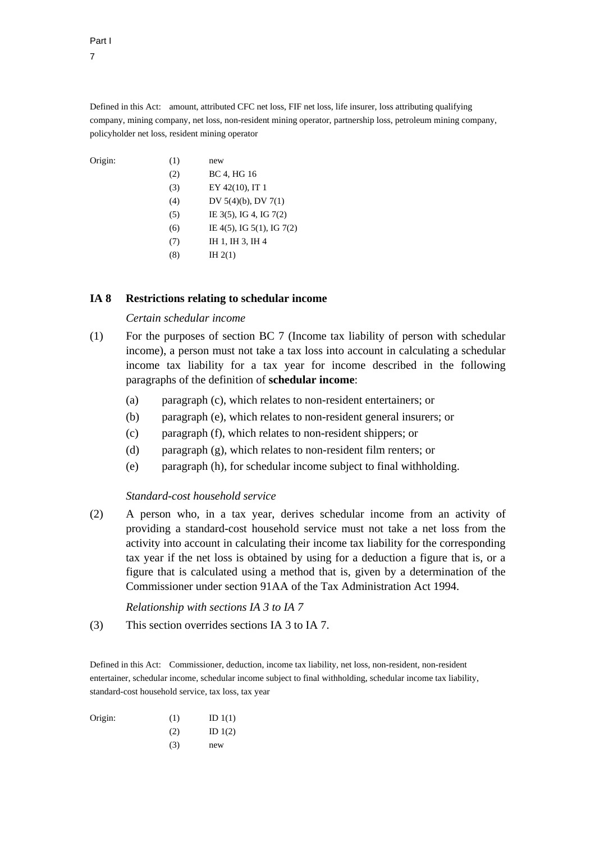Part I 7

Defined in this Act: amount, attributed CFC net loss, FIF net loss, life insurer, loss attributing qualifying company, mining company, net loss, non-resident mining operator, partnership loss, petroleum mining company, policyholder net loss, resident mining operator

| Origin: | (1) | new                         |
|---------|-----|-----------------------------|
|         | (2) | BC 4, HG 16                 |
|         | (3) | EY 42(10), IT 1             |
|         | (4) | DV $5(4)(b)$ , DV $7(1)$    |
|         | (5) | IE $3(5)$ , IG 4, IG $7(2)$ |
|         |     |                             |

- (6) IE 4(5), IG 5(1), IG 7(2)
- (7) IH 1, IH 3, IH 4
- (8) IH  $2(1)$

### **IA 8 Restrictions relating to schedular income**

### *Certain schedular income*

- (1) For the purposes of section BC 7 (Income tax liability of person with schedular income), a person must not take a tax loss into account in calculating a schedular income tax liability for a tax year for income described in the following paragraphs of the definition of **schedular income**:
	- (a) paragraph (c), which relates to non-resident entertainers; or
	- (b) paragraph (e), which relates to non-resident general insurers; or
	- (c) paragraph (f), which relates to non-resident shippers; or
	- (d) paragraph (g), which relates to non-resident film renters; or
	- (e) paragraph (h), for schedular income subject to final withholding.

### *Standard-cost household service*

(2) A person who, in a tax year, derives schedular income from an activity of providing a standard-cost household service must not take a net loss from the activity into account in calculating their income tax liability for the corresponding tax year if the net loss is obtained by using for a deduction a figure that is, or a figure that is calculated using a method that is, given by a determination of the Commissioner under section 91AA of the Tax Administration Act 1994.

*Relationship with sections IA 3 to IA 7* 

(3) This section overrides sections IA 3 to IA 7.

Defined in this Act: Commissioner, deduction, income tax liability, net loss, non-resident, non-resident entertainer, schedular income, schedular income subject to final withholding, schedular income tax liability, standard-cost household service, tax loss, tax year

| Origin: | (1) | ID $1(1)$ |
|---------|-----|-----------|
|         | (2) | ID $1(2)$ |
|         | (3) | new       |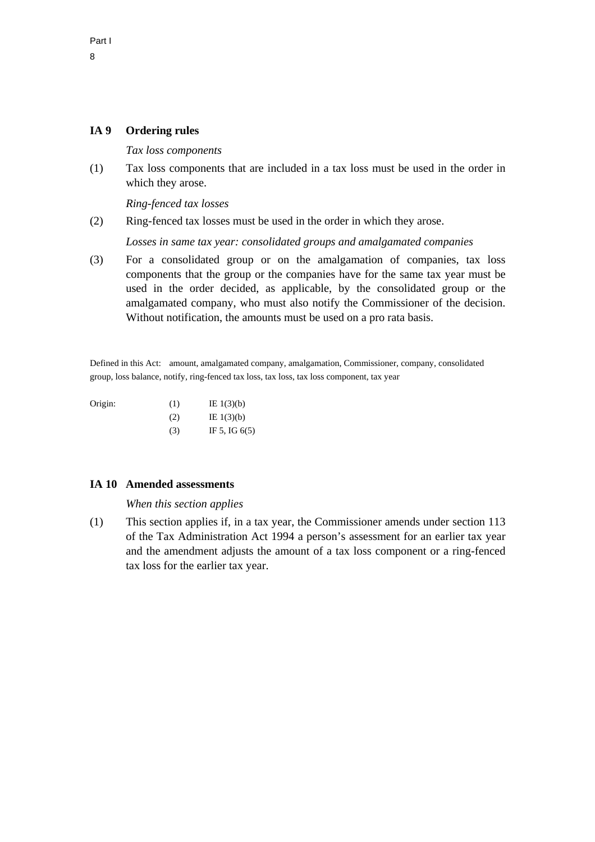# **IA 9 Ordering rules**

*Tax loss components* 

(1) Tax loss components that are included in a tax loss must be used in the order in which they arose.

*Ring-fenced tax losses* 

(2) Ring-fenced tax losses must be used in the order in which they arose.

*Losses in same tax year: consolidated groups and amalgamated companies* 

(3) For a consolidated group or on the amalgamation of companies, tax loss components that the group or the companies have for the same tax year must be used in the order decided, as applicable, by the consolidated group or the amalgamated company, who must also notify the Commissioner of the decision. Without notification, the amounts must be used on a pro rata basis.

Defined in this Act: amount, amalgamated company, amalgamation, Commissioner, company, consolidated group, loss balance, notify, ring-fenced tax loss, tax loss, tax loss component, tax year

| Origin: | (1) | IE $1(3)(b)$    |
|---------|-----|-----------------|
|         | (2) | IE $1(3)(b)$    |
|         | (3) | IF 5, IG $6(5)$ |

### **IA 10 Amended assessments**

*When this section applies* 

(1) This section applies if, in a tax year, the Commissioner amends under section 113 of the Tax Administration Act 1994 a person's assessment for an earlier tax year and the amendment adjusts the amount of a tax loss component or a ring-fenced tax loss for the earlier tax year.

Part I 8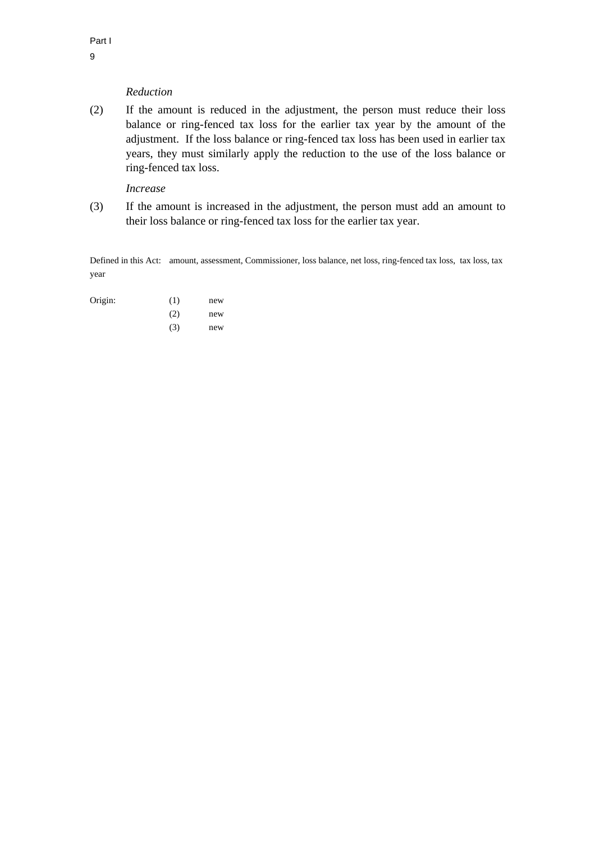### *Reduction*

(2) If the amount is reduced in the adjustment, the person must reduce their loss balance or ring-fenced tax loss for the earlier tax year by the amount of the adjustment. If the loss balance or ring-fenced tax loss has been used in earlier tax years, they must similarly apply the reduction to the use of the loss balance or ring-fenced tax loss.

# *Increase*

(3) If the amount is increased in the adjustment, the person must add an amount to their loss balance or ring-fenced tax loss for the earlier tax year.

Defined in this Act: amount, assessment, Commissioner, loss balance, net loss, ring-fenced tax loss, tax loss, tax year

| Origin: | (1) | new |
|---------|-----|-----|
|         | (2) | new |
|         | (3) | new |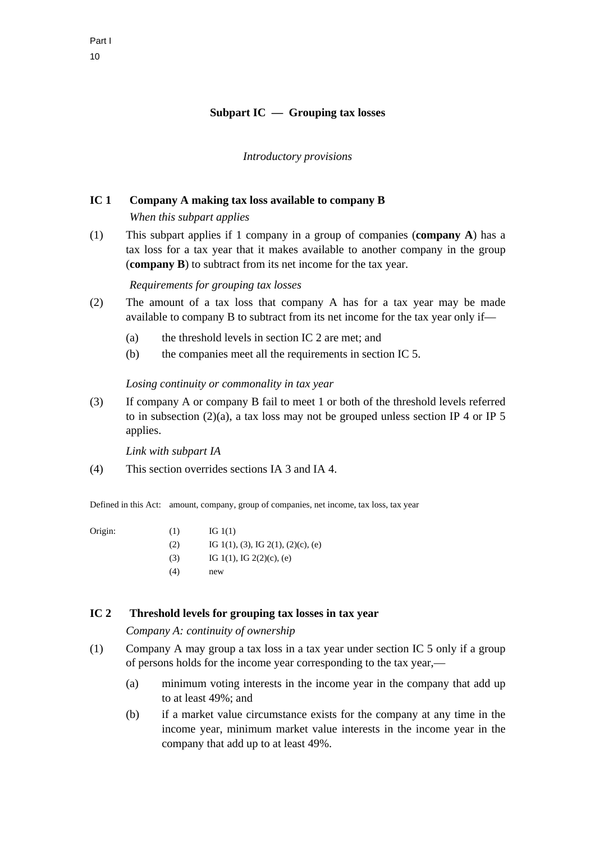# **Subpart IC — Grouping tax losses**

### *Introductory provisions*

### **IC 1 Company A making tax loss available to company B**

 *When this subpart applies* 

(1) This subpart applies if 1 company in a group of companies (**company A**) has a tax loss for a tax year that it makes available to another company in the group (**company B**) to subtract from its net income for the tax year.

 *Requirements for grouping tax losses* 

- (2) The amount of a tax loss that company A has for a tax year may be made available to company B to subtract from its net income for the tax year only if—
	- (a) the threshold levels in section IC 2 are met; and
	- (b) the companies meet all the requirements in section IC 5.

#### *Losing continuity or commonality in tax year*

(3) If company A or company B fail to meet 1 or both of the threshold levels referred to in subsection (2)(a), a tax loss may not be grouped unless section IP 4 or IP 5 applies.

*Link with subpart IA* 

(4) This section overrides sections IA 3 and IA 4.

Defined in this Act: amount, company, group of companies, net income, tax loss, tax year

- Origin:  $(1)$  IG 1(1) (2) IG 1(1), (3), IG 2(1), (2)(c), (e) (3) IG 1(1), IG 2(2)(c), (e)
	- (4) new

# **IC 2 Threshold levels for grouping tax losses in tax year**

*Company A: continuity of ownership* 

- (1) Company A may group a tax loss in a tax year under section IC 5 only if a group of persons holds for the income year corresponding to the tax year,—
	- (a) minimum voting interests in the income year in the company that add up to at least 49%; and
	- (b) if a market value circumstance exists for the company at any time in the income year, minimum market value interests in the income year in the company that add up to at least 49%.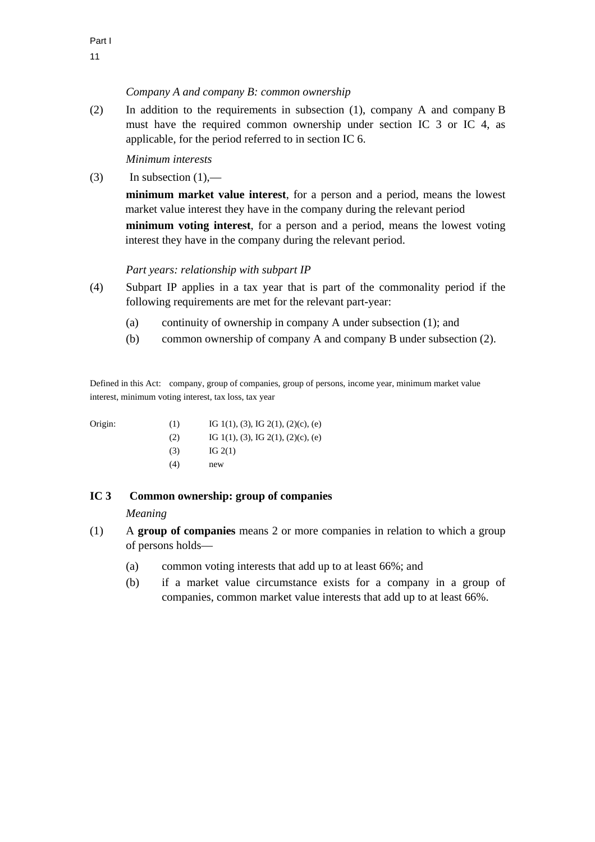### *Company A and company B: common ownership*

(2) In addition to the requirements in subsection (1), company A and company B must have the required common ownership under section IC 3 or IC 4, as applicable, for the period referred to in section IC 6.

*Minimum interests* 

(3) In subsection  $(1)$ ,—

**minimum market value interest**, for a person and a period, means the lowest market value interest they have in the company during the relevant period **minimum voting interest**, for a person and a period, means the lowest voting interest they have in the company during the relevant period.

### *Part years: relationship with subpart IP*

- (4) Subpart IP applies in a tax year that is part of the commonality period if the following requirements are met for the relevant part-year:
	- (a) continuity of ownership in company A under subsection (1); and
	- (b) common ownership of company A and company B under subsection (2).

Defined in this Act: company, group of companies, group of persons, income year, minimum market value interest, minimum voting interest, tax loss, tax year

| Origin: | (1) | IG 1(1), (3), IG 2(1), (2)(c), (e) |
|---------|-----|------------------------------------|
|         |     |                                    |

- (2) IG 1(1), (3), IG 2(1), (2)(c), (e)  $IG 2(1)$
- (4) new

# **IC 3 Common ownership: group of companies**

### *Meaning*

- (1) A **group of companies** means 2 or more companies in relation to which a group of persons holds—
	- (a) common voting interests that add up to at least 66%; and
	- (b) if a market value circumstance exists for a company in a group of companies, common market value interests that add up to at least 66%.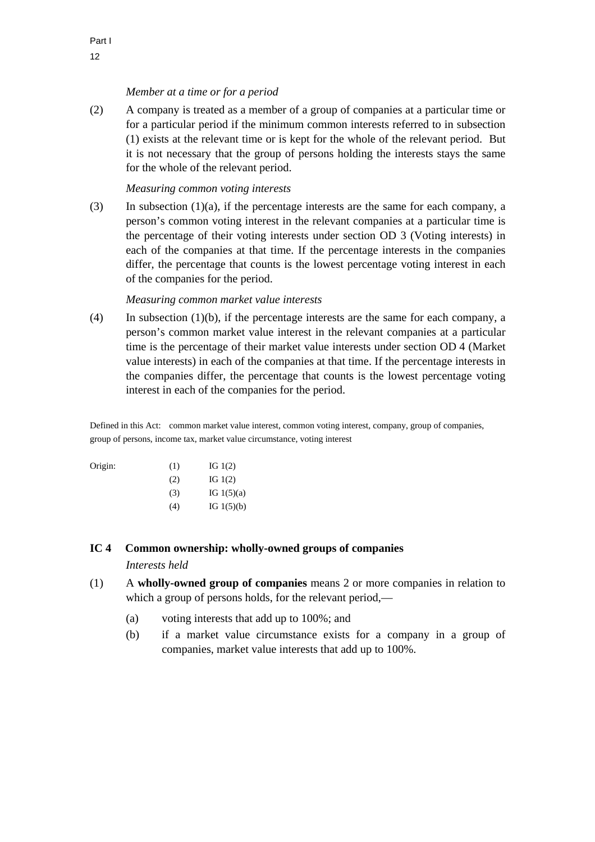# *Member at a time or for a period*

(2) A company is treated as a member of a group of companies at a particular time or for a particular period if the minimum common interests referred to in subsection (1) exists at the relevant time or is kept for the whole of the relevant period. But it is not necessary that the group of persons holding the interests stays the same for the whole of the relevant period.

### *Measuring common voting interests*

(3) In subsection  $(1)(a)$ , if the percentage interests are the same for each company, a person's common voting interest in the relevant companies at a particular time is the percentage of their voting interests under section OD 3 (Voting interests) in each of the companies at that time. If the percentage interests in the companies differ, the percentage that counts is the lowest percentage voting interest in each of the companies for the period.

### *Measuring common market value interests*

(4) In subsection (1)(b), if the percentage interests are the same for each company, a person's common market value interest in the relevant companies at a particular time is the percentage of their market value interests under section OD 4 (Market value interests) in each of the companies at that time. If the percentage interests in the companies differ, the percentage that counts is the lowest percentage voting interest in each of the companies for the period.

Defined in this Act: common market value interest, common voting interest, company, group of companies, group of persons, income tax, market value circumstance, voting interest

| Origin: | (1) | IG $1(2)$    |
|---------|-----|--------------|
|         | (2) | IG $1(2)$    |
|         | (3) | IG $1(5)(a)$ |
|         | (4) | IG $1(5)(b)$ |

### **IC 4 Common ownership: wholly-owned groups of companies**

*Interests held* 

- (1) A **wholly-owned group of companies** means 2 or more companies in relation to which a group of persons holds, for the relevant period,—
	- (a) voting interests that add up to 100%; and
	- (b) if a market value circumstance exists for a company in a group of companies, market value interests that add up to 100%.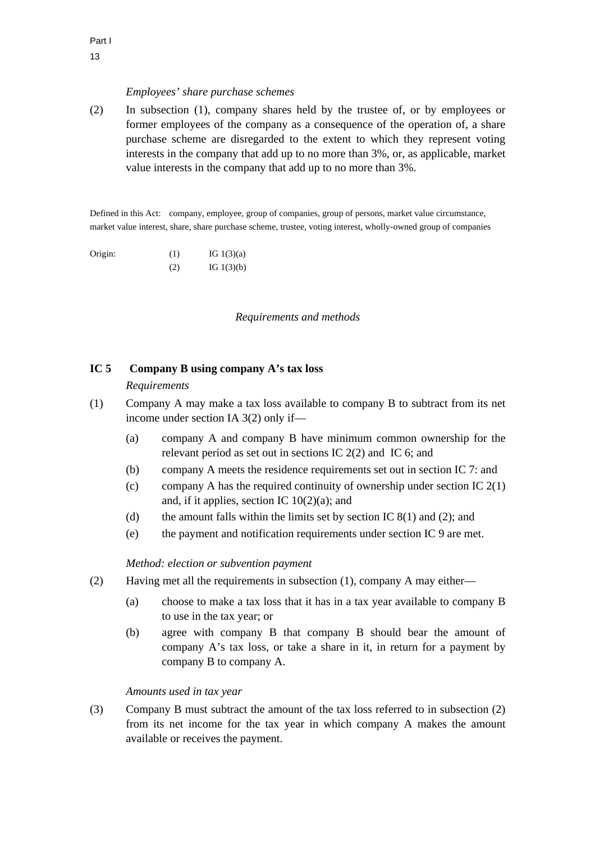### *Employees' share purchase schemes*

(2) In subsection (1), company shares held by the trustee of, or by employees or former employees of the company as a consequence of the operation of, a share purchase scheme are disregarded to the extent to which they represent voting interests in the company that add up to no more than 3%, or, as applicable, market value interests in the company that add up to no more than 3%.

Defined in this Act: company, employee, group of companies, group of persons, market value circumstance, market value interest, share, share purchase scheme, trustee, voting interest, wholly-owned group of companies

Origin:  $(1)$  IG 1(3)(a)  $I = \text{IG } 1(3)(b)$ 

*Requirements and methods* 

### **IC 5 Company B using company A's tax loss**

### *Requirements*

- (1) Company A may make a tax loss available to company B to subtract from its net income under section IA 3(2) only if—
	- (a) company A and company B have minimum common ownership for the relevant period as set out in sections IC 2(2) and IC 6; and
	- (b) company A meets the residence requirements set out in section IC 7: and
	- (c) company A has the required continuity of ownership under section IC  $2(1)$ and, if it applies, section IC  $10(2)(a)$ ; and
	- (d) the amount falls within the limits set by section IC  $8(1)$  and (2); and
	- (e) the payment and notification requirements under section IC 9 are met.

### *Method: election or subvention payment*

- (2) Having met all the requirements in subsection (1), company A may either—
	- (a) choose to make a tax loss that it has in a tax year available to company B to use in the tax year; or
	- (b) agree with company B that company B should bear the amount of company A's tax loss, or take a share in it, in return for a payment by company B to company A.

### *Amounts used in tax year*

(3) Company B must subtract the amount of the tax loss referred to in subsection (2) from its net income for the tax year in which company A makes the amount available or receives the payment.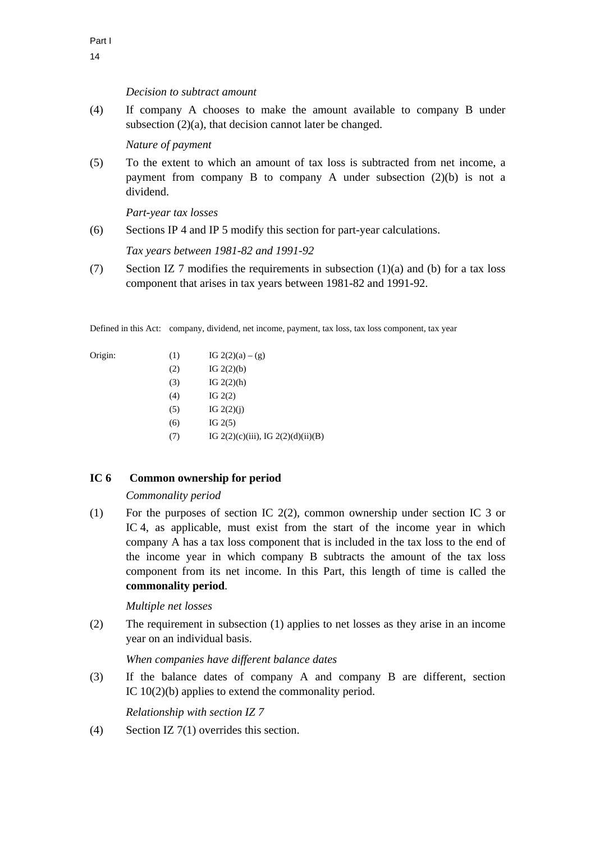### *Decision to subtract amount*

(4) If company A chooses to make the amount available to company B under subsection (2)(a), that decision cannot later be changed.

*Nature of payment* 

(5) To the extent to which an amount of tax loss is subtracted from net income, a payment from company B to company A under subsection (2)(b) is not a dividend.

*Part-year tax losses* 

(6) Sections IP 4 and IP 5 modify this section for part-year calculations.

*Tax years between 1981-82 and 1991-92* 

(7) Section IZ 7 modifies the requirements in subsection  $(1)(a)$  and (b) for a tax loss component that arises in tax years between 1981-82 and 1991-92.

Defined in this Act: company, dividend, net income, payment, tax loss, tax loss component, tax year

Origin:

| Origin: | (1) | IG $2(2)(a) - (g)$                      |
|---------|-----|-----------------------------------------|
|         | (2) | IG $2(2)(b)$                            |
|         | (3) | IG $2(2)(h)$                            |
|         | (4) | IG $2(2)$                               |
|         | (5) | IG $2(2)(i)$                            |
|         | (6) | IG $2(5)$                               |
|         | (7) | IG $2(2)(c)(iii)$ , IG $2(2)(d)(ii)(B)$ |

# **IC 6 Common ownership for period**

### *Commonality period*

(1) For the purposes of section IC 2(2), common ownership under section IC 3 or IC 4, as applicable, must exist from the start of the income year in which company A has a tax loss component that is included in the tax loss to the end of the income year in which company B subtracts the amount of the tax loss component from its net income. In this Part, this length of time is called the **commonality period**.

# *Multiple net losses*

(2) The requirement in subsection (1) applies to net losses as they arise in an income year on an individual basis.

# *When companies have different balance dates*

(3) If the balance dates of company A and company B are different, section IC 10(2)(b) applies to extend the commonality period.

*Relationship with section IZ 7* 

(4) Section IZ  $7(1)$  overrides this section.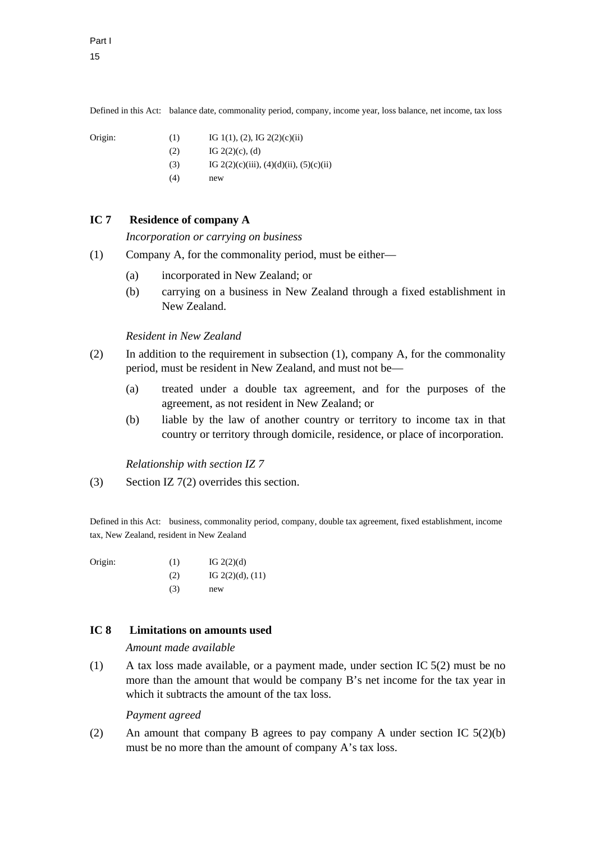Defined in this Act: balance date, commonality period, company, income year, loss balance, net income, tax loss

- Origin: (1) IG 1(1), (2), IG 2(2)(c)(ii)  $IG 2(2)(c), (d)$ 
	- (3) IG  $2(2)(c)(iii)$ ,  $(4)(d)(ii)$ ,  $(5)(c)(ii)$
- $(4)$  new

# **IC 7 Residence of company A**

*Incorporation or carrying on business* 

- (1) Company A, for the commonality period, must be either—
	- (a) incorporated in New Zealand; or
	- (b) carrying on a business in New Zealand through a fixed establishment in New Zealand.

## *Resident in New Zealand*

- (2) In addition to the requirement in subsection (1), company A, for the commonality period, must be resident in New Zealand, and must not be—
	- (a) treated under a double tax agreement, and for the purposes of the agreement, as not resident in New Zealand; or
	- (b) liable by the law of another country or territory to income tax in that country or territory through domicile, residence, or place of incorporation.

*Relationship with section IZ 7* 

(3) Section IZ 7(2) overrides this section.

Defined in this Act: business, commonality period, company, double tax agreement, fixed establishment, income tax, New Zealand, resident in New Zealand

Origin:  $(1)$  IG 2(2)(d)  $IG 2(2)(d), (11)$  $(3)$  new

# **IC 8 Limitations on amounts used**

*Amount made available* 

(1) A tax loss made available, or a payment made, under section IC 5(2) must be no more than the amount that would be company B's net income for the tax year in which it subtracts the amount of the tax loss.

### *Payment agreed*

(2) An amount that company B agrees to pay company A under section IC 5(2)(b) must be no more than the amount of company A's tax loss.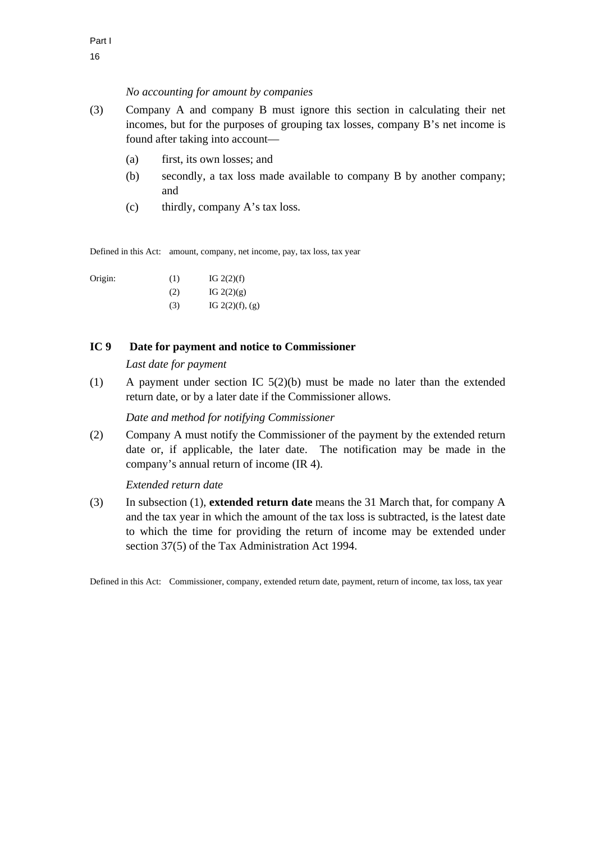### *No accounting for amount by companies*

- (3) Company A and company B must ignore this section in calculating their net incomes, but for the purposes of grouping tax losses, company B's net income is found after taking into account—
	- (a) first, its own losses; and
	- (b) secondly, a tax loss made available to company B by another company; and
	- (c) thirdly, company A's tax loss.

Defined in this Act: amount, company, net income, pay, tax loss, tax year

| Origin: | (1) | IG $2(2)(f)$         |
|---------|-----|----------------------|
|         | (2) | IG $2(2)(g)$         |
|         | (3) | IG $2(2)(f)$ , $(g)$ |

# **IC 9 Date for payment and notice to Commissioner**

*Last date for payment* 

(1) A payment under section IC 5(2)(b) must be made no later than the extended return date, or by a later date if the Commissioner allows.

# *Date and method for notifying Commissioner*

(2) Company A must notify the Commissioner of the payment by the extended return date or, if applicable, the later date. The notification may be made in the company's annual return of income (IR 4).

### *Extended return date*

(3) In subsection (1), **extended return date** means the 31 March that, for company A and the tax year in which the amount of the tax loss is subtracted, is the latest date to which the time for providing the return of income may be extended under section 37(5) of the Tax Administration Act 1994.

Defined in this Act: Commissioner, company, extended return date, payment, return of income, tax loss, tax year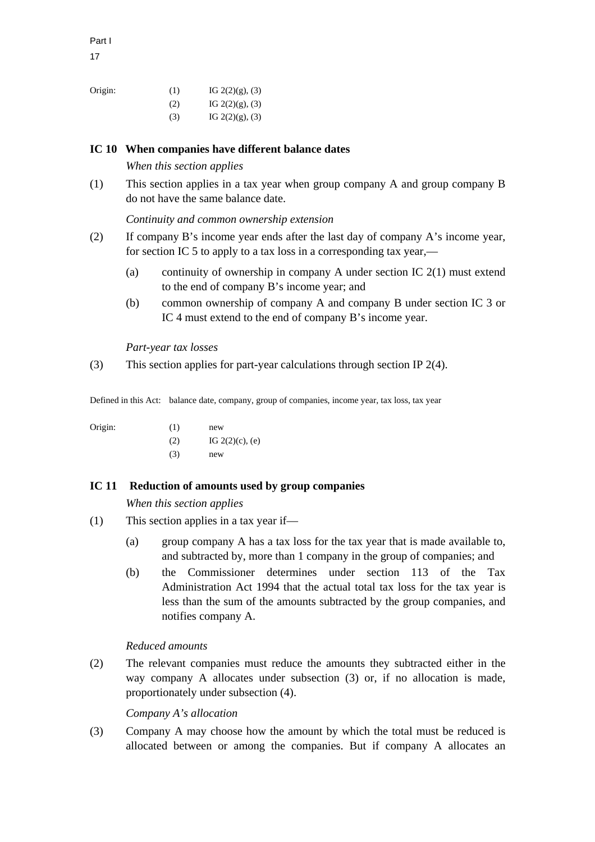17

| Origin: | (1) | IG $2(2)(g)$ , (3) |
|---------|-----|--------------------|
|         | (2) | IG $2(2)(g)$ , (3) |
|         | (3) | IG $2(2)(g)$ , (3) |

# **IC 10 When companies have different balance dates**

*When this section applies* 

(1) This section applies in a tax year when group company A and group company B do not have the same balance date.

*Continuity and common ownership extension* 

- (2) If company B's income year ends after the last day of company A's income year, for section IC 5 to apply to a tax loss in a corresponding tax year,—
	- (a) continuity of ownership in company A under section IC  $2(1)$  must extend to the end of company B's income year; and
	- (b) common ownership of company A and company B under section IC 3 or IC 4 must extend to the end of company B's income year.

*Part-year tax losses* 

(3) This section applies for part-year calculations through section IP 2(4).

Defined in this Act: balance date, company, group of companies, income year, tax loss, tax year

Origin:

| Origin: | (1) | new                |
|---------|-----|--------------------|
|         | (2) | IG $2(2)(c)$ , (e) |
|         | (3) | new                |

# **IC 11 Reduction of amounts used by group companies**

*When this section applies* 

- (1) This section applies in a tax year if—
	- (a) group company A has a tax loss for the tax year that is made available to, and subtracted by, more than 1 company in the group of companies; and
	- (b) the Commissioner determines under section 113 of the Tax Administration Act 1994 that the actual total tax loss for the tax year is less than the sum of the amounts subtracted by the group companies, and notifies company A.

# *Reduced amounts*

(2) The relevant companies must reduce the amounts they subtracted either in the way company A allocates under subsection (3) or, if no allocation is made, proportionately under subsection (4).

# *Company A's allocation*

(3) Company A may choose how the amount by which the total must be reduced is allocated between or among the companies. But if company A allocates an

Part I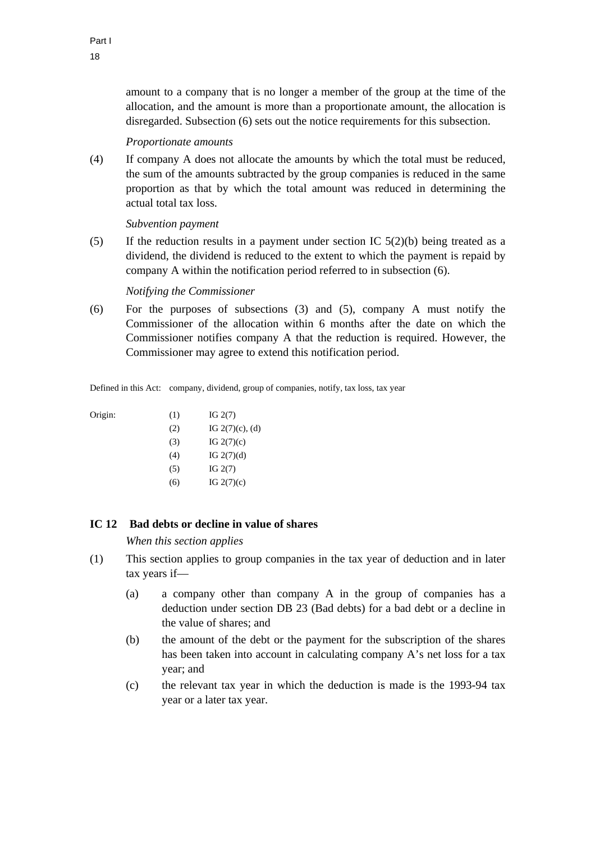amount to a company that is no longer a member of the group at the time of the allocation, and the amount is more than a proportionate amount, the allocation is disregarded. Subsection (6) sets out the notice requirements for this subsection.

#### *Proportionate amounts*

(4) If company A does not allocate the amounts by which the total must be reduced, the sum of the amounts subtracted by the group companies is reduced in the same proportion as that by which the total amount was reduced in determining the actual total tax loss.

*Subvention payment* 

(5) If the reduction results in a payment under section IC  $5(2)(b)$  being treated as a dividend, the dividend is reduced to the extent to which the payment is repaid by company A within the notification period referred to in subsection (6).

#### *Notifying the Commissioner*

(6) For the purposes of subsections (3) and (5), company A must notify the Commissioner of the allocation within 6 months after the date on which the Commissioner notifies company A that the reduction is required. However, the Commissioner may agree to extend this notification period.

Defined in this Act: company, dividend, group of companies, notify, tax loss, tax year

| Origin: | (1) | IG $2(7)$          |
|---------|-----|--------------------|
|         | (2) | IG $2(7)(c)$ , (d) |
|         | (3) | IG $2(7)(c)$       |
|         | (4) | IG $2(7)(d)$       |
|         | (5) | IG $2(7)$          |
|         | (6) | IG $2(7)(c)$       |

# **IC 12 Bad debts or decline in value of shares**

*When this section applies* 

- (1) This section applies to group companies in the tax year of deduction and in later tax years if—
	- (a) a company other than company A in the group of companies has a deduction under section DB 23 (Bad debts) for a bad debt or a decline in the value of shares; and
	- (b) the amount of the debt or the payment for the subscription of the shares has been taken into account in calculating company A's net loss for a tax year; and
	- (c) the relevant tax year in which the deduction is made is the 1993-94 tax year or a later tax year.

Origin: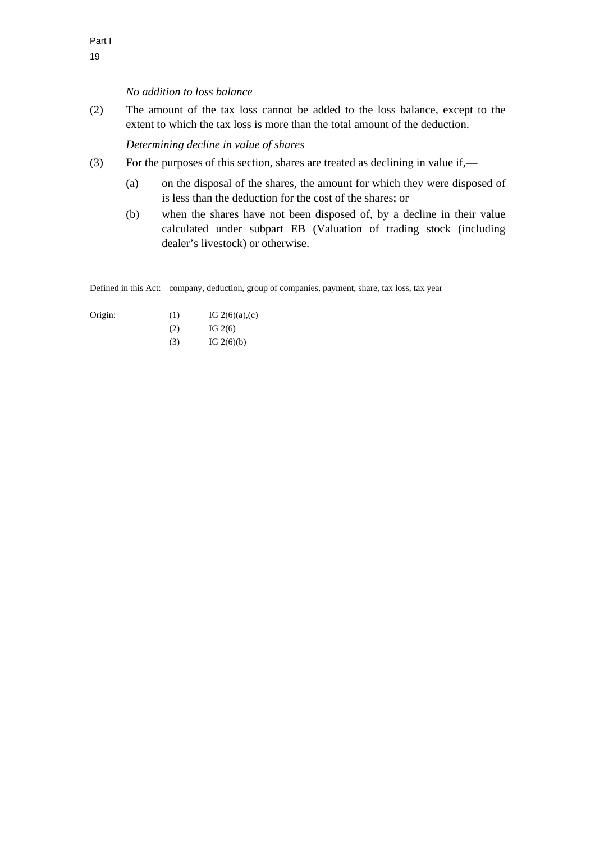#### *No addition to loss balance*

(2) The amount of the tax loss cannot be added to the loss balance, except to the extent to which the tax loss is more than the total amount of the deduction.

*Determining decline in value of shares* 

- (3) For the purposes of this section, shares are treated as declining in value if,—
	- (a) on the disposal of the shares, the amount for which they were disposed of is less than the deduction for the cost of the shares; or
	- (b) when the shares have not been disposed of, by a decline in their value calculated under subpart EB (Valuation of trading stock (including dealer's livestock) or otherwise.

Defined in this Act: company, deduction, group of companies, payment, share, tax loss, tax year

| Origin: | (1) | IG $2(6)(a)$ , (c) |
|---------|-----|--------------------|
|         | (2) | IG $2(6)$          |

(3) IG  $2(6)(b)$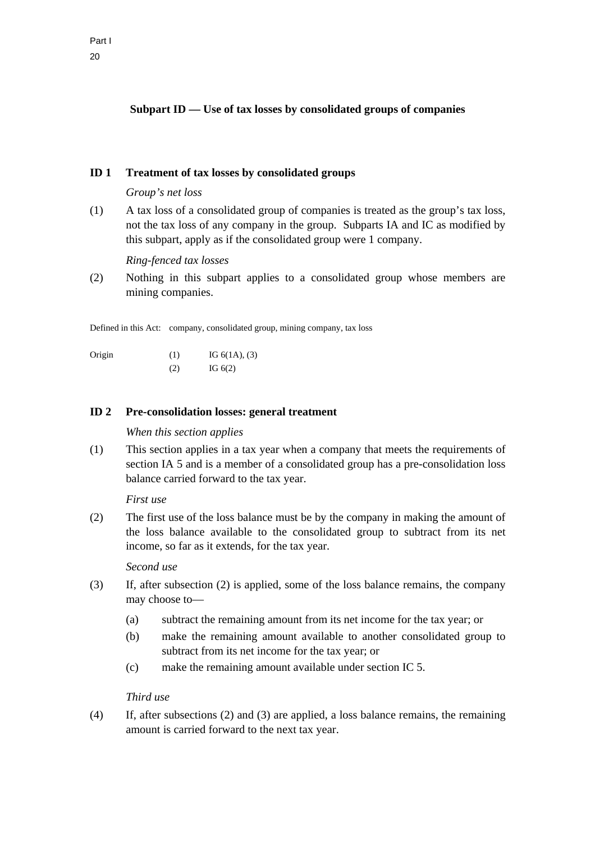# **ID 1 Treatment of tax losses by consolidated groups**

### *Group's net loss*

(1) A tax loss of a consolidated group of companies is treated as the group's tax loss, not the tax loss of any company in the group. Subparts IA and IC as modified by this subpart, apply as if the consolidated group were 1 company.

### *Ring-fenced tax losses*

(2) Nothing in this subpart applies to a consolidated group whose members are mining companies.

Defined in this Act: company, consolidated group, mining company, tax loss

| Origin | (1) | IG $6(1A)$ , $(3)$ |
|--------|-----|--------------------|
|        | (2) | IG $6(2)$          |

### **ID 2 Pre-consolidation losses: general treatment**

### *When this section applies*

(1) This section applies in a tax year when a company that meets the requirements of section IA 5 and is a member of a consolidated group has a pre-consolidation loss balance carried forward to the tax year.

### *First use*

(2) The first use of the loss balance must be by the company in making the amount of the loss balance available to the consolidated group to subtract from its net income, so far as it extends, for the tax year.

### *Second use*

- (3) If, after subsection (2) is applied, some of the loss balance remains, the company may choose to—
	- (a) subtract the remaining amount from its net income for the tax year; or
	- (b) make the remaining amount available to another consolidated group to subtract from its net income for the tax year; or
	- (c) make the remaining amount available under section IC 5.

# *Third use*

(4) If, after subsections (2) and (3) are applied, a loss balance remains, the remaining amount is carried forward to the next tax year.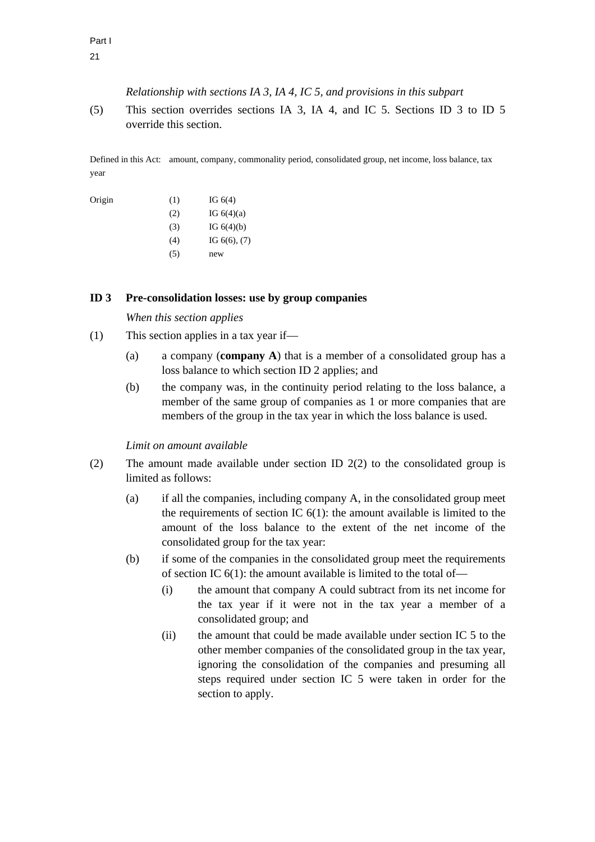*Relationship with sections IA 3, IA 4, IC 5, and provisions in this subpart* 

(5) This section overrides sections IA 3, IA 4, and IC 5. Sections ID 3 to ID 5 override this section.

Defined in this Act: amount, company, commonality period, consolidated group, net income, loss balance, tax year

| IG $6(4)(a)$      |
|-------------------|
| IG $6(4)(b)$      |
| IG $6(6)$ , $(7)$ |
|                   |
|                   |

#### **ID 3 Pre-consolidation losses: use by group companies**

*When this section applies* 

- (1) This section applies in a tax year if—
	- (a) a company (**company A**) that is a member of a consolidated group has a loss balance to which section ID 2 applies; and
	- (b) the company was, in the continuity period relating to the loss balance, a member of the same group of companies as 1 or more companies that are members of the group in the tax year in which the loss balance is used.

*Limit on amount available* 

- (2) The amount made available under section ID 2(2) to the consolidated group is limited as follows:
	- (a) if all the companies, including company A, in the consolidated group meet the requirements of section IC  $6(1)$ : the amount available is limited to the amount of the loss balance to the extent of the net income of the consolidated group for the tax year:
	- (b) if some of the companies in the consolidated group meet the requirements of section IC  $6(1)$ : the amount available is limited to the total of-
		- (i) the amount that company A could subtract from its net income for the tax year if it were not in the tax year a member of a consolidated group; and
		- (ii) the amount that could be made available under section IC 5 to the other member companies of the consolidated group in the tax year, ignoring the consolidation of the companies and presuming all steps required under section IC 5 were taken in order for the section to apply.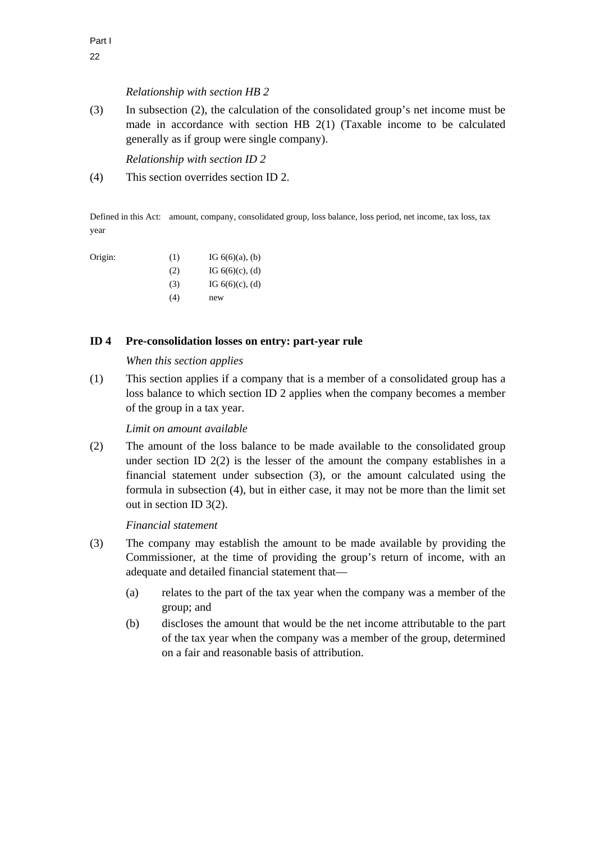### *Relationship with section HB 2*

(3) In subsection (2), the calculation of the consolidated group's net income must be made in accordance with section HB 2(1) (Taxable income to be calculated generally as if group were single company).

*Relationship with section ID 2* 

(4) This section overrides section ID 2.

Defined in this Act: amount, company, consolidated group, loss balance, loss period, net income, tax loss, tax year

Origin: (1) IG  $6(6)(a)$ , (b) (2) IG  $6(6)(c)$ , (d) (3) IG  $6(6)(c)$ , (d) (4) new

### **ID 4 Pre-consolidation losses on entry: part-year rule**

#### *When this section applies*

(1) This section applies if a company that is a member of a consolidated group has a loss balance to which section ID 2 applies when the company becomes a member of the group in a tax year.

### *Limit on amount available*

(2) The amount of the loss balance to be made available to the consolidated group under section ID 2(2) is the lesser of the amount the company establishes in a financial statement under subsection (3), or the amount calculated using the formula in subsection (4), but in either case, it may not be more than the limit set out in section ID 3(2).

# *Financial statement*

- (3) The company may establish the amount to be made available by providing the Commissioner, at the time of providing the group's return of income, with an adequate and detailed financial statement that—
	- (a) relates to the part of the tax year when the company was a member of the group; and
	- (b) discloses the amount that would be the net income attributable to the part of the tax year when the company was a member of the group, determined on a fair and reasonable basis of attribution.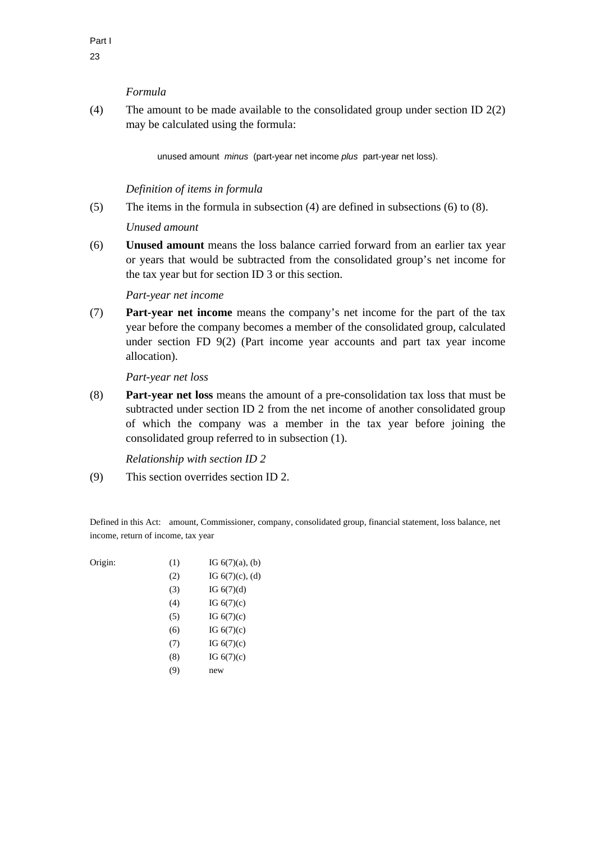### *Formula*

(4) The amount to be made available to the consolidated group under section ID 2(2) may be calculated using the formula:

unused amount *minus* (part-year net income *plus* part-year net loss).

# *Definition of items in formula*

(5) The items in the formula in subsection (4) are defined in subsections (6) to (8).

### *Unused amount*

(6) **Unused amount** means the loss balance carried forward from an earlier tax year or years that would be subtracted from the consolidated group's net income for the tax year but for section ID 3 or this section.

### *Part-year net income*

(7) **Part-year net income** means the company's net income for the part of the tax year before the company becomes a member of the consolidated group, calculated under section FD 9(2) (Part income year accounts and part tax year income allocation).

*Part-year net loss* 

(8) **Part-year net loss** means the amount of a pre-consolidation tax loss that must be subtracted under section ID 2 from the net income of another consolidated group of which the company was a member in the tax year before joining the consolidated group referred to in subsection (1).

*Relationship with section ID 2* 

(9) This section overrides section ID 2.

Defined in this Act: amount, Commissioner, company, consolidated group, financial statement, loss balance, net income, return of income, tax year

| Origin: | (1) | IG $6(7)(a)$ , (b) |
|---------|-----|--------------------|
|         | (2) | IG $6(7)(c)$ , (d) |
|         | (3) | IG $6(7)(d)$       |
|         | (4) | IG $6(7)(c)$       |
|         | (5) | IG $6(7)(c)$       |
|         | (6) | IG $6(7)(c)$       |
|         | (7) | IG $6(7)(c)$       |
|         | (8) | IG $6(7)(c)$       |
|         | (9) | new                |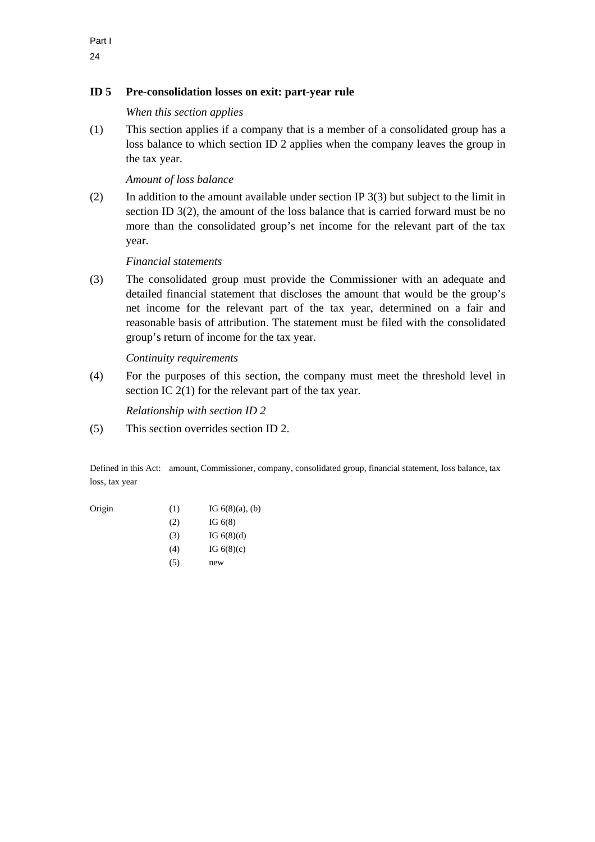# **ID 5 Pre-consolidation losses on exit: part-year rule**

*When this section applies* 

(1) This section applies if a company that is a member of a consolidated group has a loss balance to which section ID 2 applies when the company leaves the group in the tax year.

# *Amount of loss balance*

(2) In addition to the amount available under section IP 3(3) but subject to the limit in section ID 3(2), the amount of the loss balance that is carried forward must be no more than the consolidated group's net income for the relevant part of the tax year.

### *Financial statements*

(3) The consolidated group must provide the Commissioner with an adequate and detailed financial statement that discloses the amount that would be the group's net income for the relevant part of the tax year, determined on a fair and reasonable basis of attribution. The statement must be filed with the consolidated group's return of income for the tax year.

### *Continuity requirements*

(4) For the purposes of this section, the company must meet the threshold level in section IC 2(1) for the relevant part of the tax year.

*Relationship with section ID 2* 

(5) This section overrides section ID 2.

Defined in this Act: amount, Commissioner, company, consolidated group, financial statement, loss balance, tax loss, tax year

- Origin (1) IG  $6(8)(a)$ , (b)
	- $(2)$  IG  $6(8)$
	- (3) IG  $6(8)(d)$
	- (4) IG  $6(8)(c)$
	- (5) new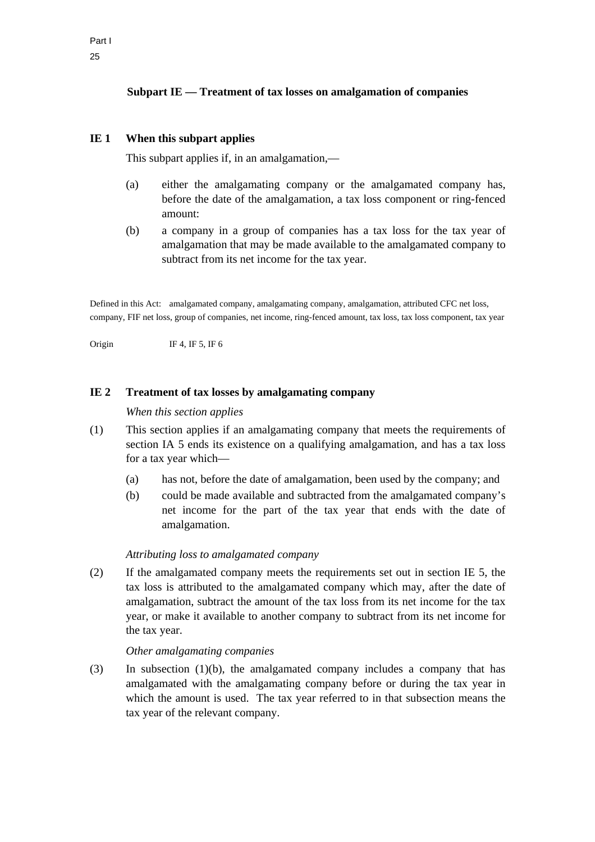# **Subpart IE — Treatment of tax losses on amalgamation of companies**

# **IE 1 When this subpart applies**

This subpart applies if, in an amalgamation,—

- (a) either the amalgamating company or the amalgamated company has, before the date of the amalgamation, a tax loss component or ring-fenced amount:
- (b) a company in a group of companies has a tax loss for the tax year of amalgamation that may be made available to the amalgamated company to subtract from its net income for the tax year.

Defined in this Act: amalgamated company, amalgamating company, amalgamation, attributed CFC net loss, company, FIF net loss, group of companies, net income, ring-fenced amount, tax loss, tax loss component, tax year

Origin IF 4, IF 5, IF 6

### **IE 2 Treatment of tax losses by amalgamating company**

#### *When this section applies*

- (1) This section applies if an amalgamating company that meets the requirements of section IA 5 ends its existence on a qualifying amalgamation, and has a tax loss for a tax year which—
	- (a) has not, before the date of amalgamation, been used by the company; and
	- (b) could be made available and subtracted from the amalgamated company's net income for the part of the tax year that ends with the date of amalgamation.

#### *Attributing loss to amalgamated company*

(2) If the amalgamated company meets the requirements set out in section IE 5, the tax loss is attributed to the amalgamated company which may, after the date of amalgamation, subtract the amount of the tax loss from its net income for the tax year, or make it available to another company to subtract from its net income for the tax year.

#### *Other amalgamating companies*

(3) In subsection (1)(b), the amalgamated company includes a company that has amalgamated with the amalgamating company before or during the tax year in which the amount is used. The tax year referred to in that subsection means the tax year of the relevant company.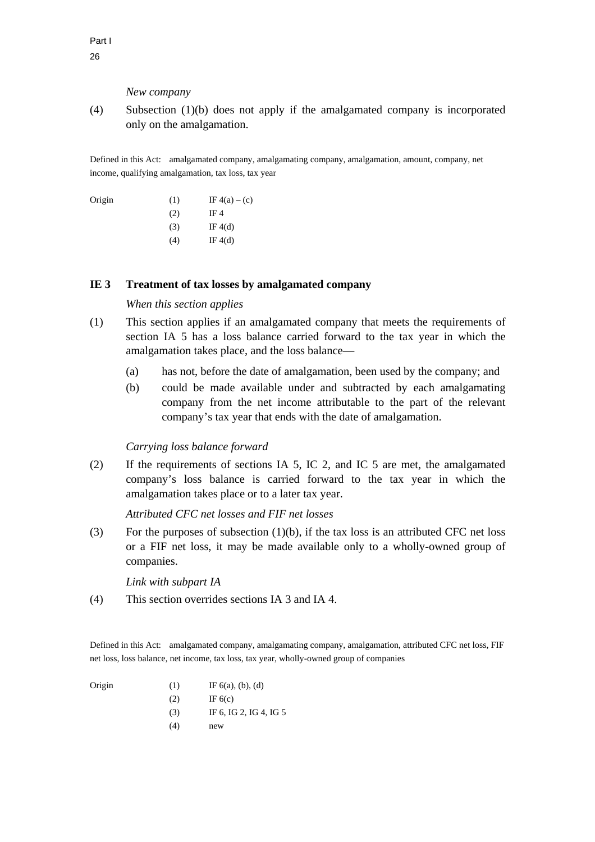#### *New company*

(4) Subsection (1)(b) does not apply if the amalgamated company is incorporated only on the amalgamation.

Defined in this Act: amalgamated company, amalgamating company, amalgamation, amount, company, net income, qualifying amalgamation, tax loss, tax year

| Origin | (1) | IF $4(a) - (c)$ |
|--------|-----|-----------------|
|        | (2) | IF 4            |
|        | (3) | IF $4(d)$       |
|        | (4) | IF $4(d)$       |
|        |     |                 |

### **IE 3 Treatment of tax losses by amalgamated company**

# *When this section applies*

- (1) This section applies if an amalgamated company that meets the requirements of section IA 5 has a loss balance carried forward to the tax year in which the amalgamation takes place, and the loss balance—
	- (a) has not, before the date of amalgamation, been used by the company; and
	- (b) could be made available under and subtracted by each amalgamating company from the net income attributable to the part of the relevant company's tax year that ends with the date of amalgamation.

#### *Carrying loss balance forward*

(2) If the requirements of sections IA 5, IC 2, and IC 5 are met, the amalgamated company's loss balance is carried forward to the tax year in which the amalgamation takes place or to a later tax year.

### *Attributed CFC net losses and FIF net losses*

(3) For the purposes of subsection  $(1)(b)$ , if the tax loss is an attributed CFC net loss or a FIF net loss, it may be made available only to a wholly-owned group of companies.

*Link with subpart IA* 

(4) This section overrides sections IA 3 and IA 4.

Defined in this Act: amalgamated company, amalgamating company, amalgamation, attributed CFC net loss, FIF net loss, loss balance, net income, tax loss, tax year, wholly-owned group of companies

| Origin | (1) | IF $6(a)$ , (b), (d) |
|--------|-----|----------------------|
|        |     |                      |

- $IF 6(c)$ 
	- (3) IF 6, IG 2, IG 4, IG 5
	- (4) new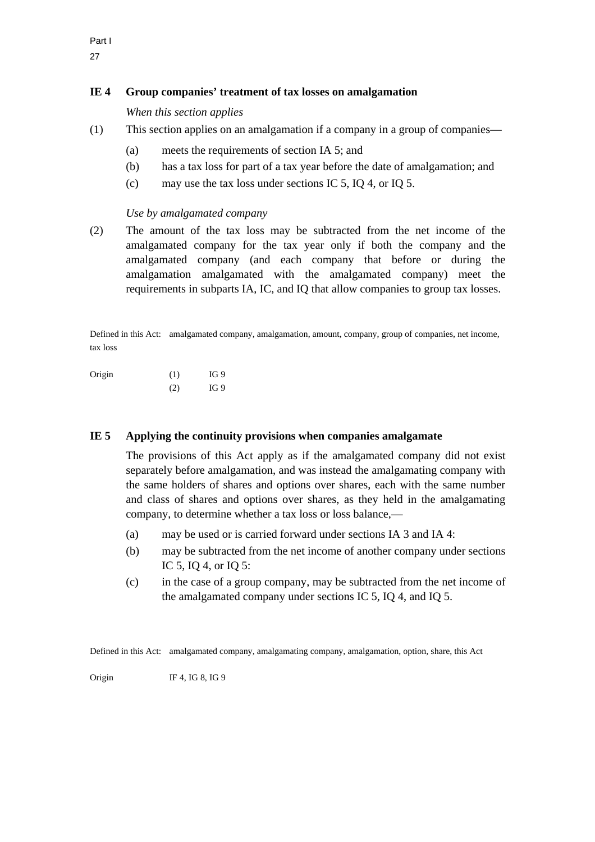# **IE 4 Group companies' treatment of tax losses on amalgamation**

*When this section applies* 

- (1) This section applies on an amalgamation if a company in a group of companies—
	- (a) meets the requirements of section IA 5; and
	- (b) has a tax loss for part of a tax year before the date of amalgamation; and
	- (c) may use the tax loss under sections IC 5, IQ 4, or IQ 5.

# *Use by amalgamated company*

(2) The amount of the tax loss may be subtracted from the net income of the amalgamated company for the tax year only if both the company and the amalgamated company (and each company that before or during the amalgamation amalgamated with the amalgamated company) meet the requirements in subparts IA, IC, and IQ that allow companies to group tax losses.

Defined in this Act: amalgamated company, amalgamation, amount, company, group of companies, net income, tax loss

Origin (1) IG 9 (2) IG 9

# **IE 5 Applying the continuity provisions when companies amalgamate**

 The provisions of this Act apply as if the amalgamated company did not exist separately before amalgamation, and was instead the amalgamating company with the same holders of shares and options over shares, each with the same number and class of shares and options over shares, as they held in the amalgamating company, to determine whether a tax loss or loss balance,—

- (a) may be used or is carried forward under sections IA 3 and IA 4:
- (b) may be subtracted from the net income of another company under sections IC 5, IQ 4, or IQ 5:
- (c) in the case of a group company, may be subtracted from the net income of the amalgamated company under sections IC 5, IQ 4, and IQ 5.

Defined in this Act: amalgamated company, amalgamating company, amalgamation, option, share, this Act

Origin IF 4, IG 8, IG 9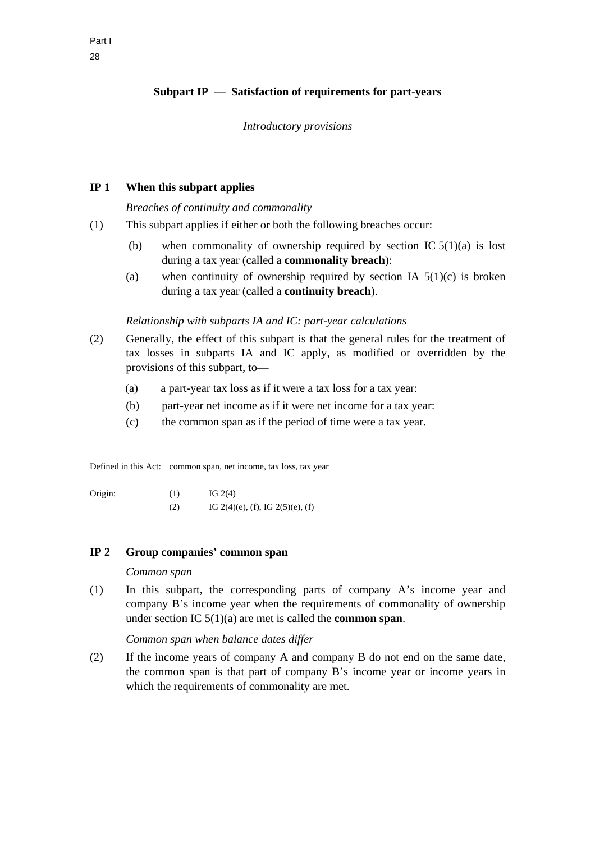# **Subpart IP — Satisfaction of requirements for part-years**

#### *Introductory provisions*

### **IP 1 When this subpart applies**

*Breaches of continuity and commonality* 

- (1) This subpart applies if either or both the following breaches occur:
	- (b) when commonality of ownership required by section IC  $5(1)(a)$  is lost during a tax year (called a **commonality breach**):
	- (a) when continuity of ownership required by section IA  $5(1)(c)$  is broken during a tax year (called a **continuity breach**).

### *Relationship with subparts IA and IC: part-year calculations*

- (2) Generally, the effect of this subpart is that the general rules for the treatment of tax losses in subparts IA and IC apply, as modified or overridden by the provisions of this subpart, to—
	- (a) a part-year tax loss as if it were a tax loss for a tax year:
	- (b) part-year net income as if it were net income for a tax year:
	- (c) the common span as if the period of time were a tax year.

Defined in this Act: common span, net income, tax loss, tax year

Origin:  $(1)$  IG 2(4) (2) IG 2(4)(e), (f), IG 2(5)(e), (f)

### **IP 2 Group companies' common span**

### *Common span*

(1) In this subpart, the corresponding parts of company A's income year and company B's income year when the requirements of commonality of ownership under section IC 5(1)(a) are met is called the **common span**.

*Common span when balance dates differ* 

(2) If the income years of company A and company B do not end on the same date, the common span is that part of company B's income year or income years in which the requirements of commonality are met.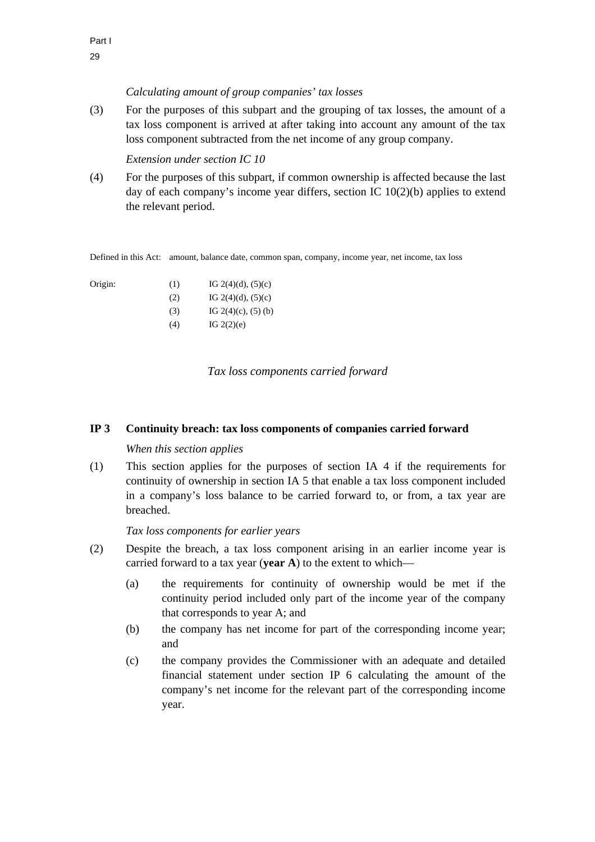### *Calculating amount of group companies' tax losses*

(3) For the purposes of this subpart and the grouping of tax losses, the amount of a tax loss component is arrived at after taking into account any amount of the tax loss component subtracted from the net income of any group company.

*Extension under section IC 10* 

(4) For the purposes of this subpart, if common ownership is affected because the last day of each company's income year differs, section IC 10(2)(b) applies to extend the relevant period.

Defined in this Act: amount, balance date, common span, company, income year, net income, tax loss

| Origin: | (1) | IG $2(4)(d)$ , $(5)(c)$ |
|---------|-----|-------------------------|
|         | (2) | IG $2(4)(d)$ , $(5)(c)$ |
|         | (3) | IG $2(4)(c)$ , $(5)(b)$ |

(4) IG  $2(2)(e)$ 

### *Tax loss components carried forward*

### **IP 3 Continuity breach: tax loss components of companies carried forward**

### *When this section applies*

(1) This section applies for the purposes of section IA 4 if the requirements for continuity of ownership in section IA 5 that enable a tax loss component included in a company's loss balance to be carried forward to, or from, a tax year are breached.

### *Tax loss components for earlier years*

- (2) Despite the breach, a tax loss component arising in an earlier income year is carried forward to a tax year (**year A**) to the extent to which—
	- (a) the requirements for continuity of ownership would be met if the continuity period included only part of the income year of the company that corresponds to year A; and
	- (b) the company has net income for part of the corresponding income year; and
	- (c) the company provides the Commissioner with an adequate and detailed financial statement under section IP 6 calculating the amount of the company's net income for the relevant part of the corresponding income year.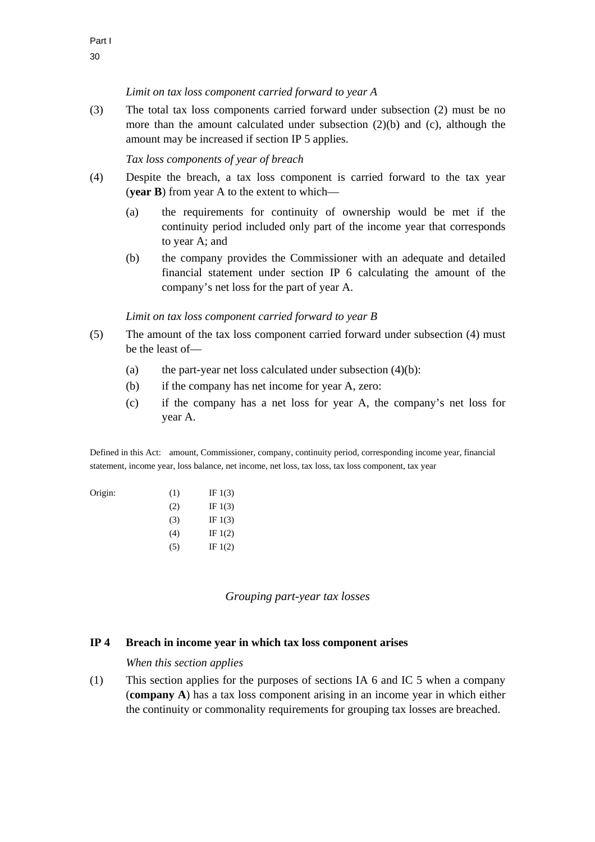# *Limit on tax loss component carried forward to year A*

(3) The total tax loss components carried forward under subsection (2) must be no more than the amount calculated under subsection (2)(b) and (c), although the amount may be increased if section IP 5 applies.

### *Tax loss components of year of breach*

- (4) Despite the breach, a tax loss component is carried forward to the tax year (**year B**) from year A to the extent to which—
	- (a) the requirements for continuity of ownership would be met if the continuity period included only part of the income year that corresponds to year A; and
	- (b) the company provides the Commissioner with an adequate and detailed financial statement under section IP 6 calculating the amount of the company's net loss for the part of year A.

### *Limit on tax loss component carried forward to year B*

- (5) The amount of the tax loss component carried forward under subsection (4) must be the least of—
	- (a) the part-year net loss calculated under subsection  $(4)(b)$ :
	- (b) if the company has net income for year A, zero:
	- (c) if the company has a net loss for year A, the company's net loss for year A.

Defined in this Act: amount, Commissioner, company, continuity period, corresponding income year, financial statement, income year, loss balance, net income, net loss, tax loss, tax loss component, tax year

| Origin: | (1) | IF $1(3)$ |
|---------|-----|-----------|
|         | (2) | IF $1(3)$ |
|         | (3) | IF $1(3)$ |
|         | (4) | IF $1(2)$ |
|         | (5) | IF $1(2)$ |

*Grouping part-year tax losses* 

#### **IP 4 Breach in income year in which tax loss component arises**

#### *When this section applies*

(1) This section applies for the purposes of sections IA 6 and IC 5 when a company (**company A**) has a tax loss component arising in an income year in which either the continuity or commonality requirements for grouping tax losses are breached.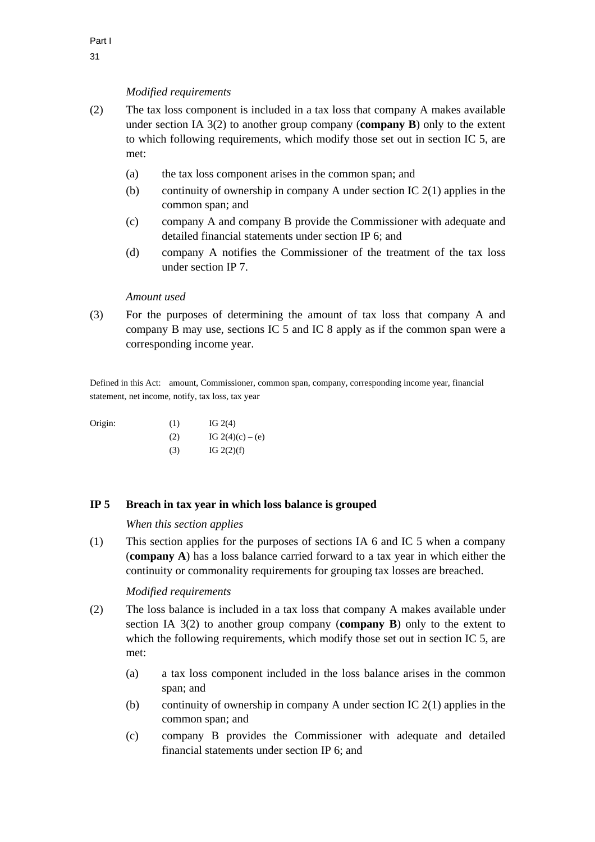## *Modified requirements*

- (2) The tax loss component is included in a tax loss that company A makes available under section IA 3(2) to another group company (**company B**) only to the extent to which following requirements, which modify those set out in section IC 5, are met:
	- (a) the tax loss component arises in the common span; and
	- (b) continuity of ownership in company A under section IC  $2(1)$  applies in the common span; and
	- (c) company A and company B provide the Commissioner with adequate and detailed financial statements under section IP 6; and
	- (d) company A notifies the Commissioner of the treatment of the tax loss under section IP 7.

#### *Amount used*

(3) For the purposes of determining the amount of tax loss that company A and company B may use, sections IC 5 and IC 8 apply as if the common span were a corresponding income year.

Defined in this Act: amount, Commissioner, common span, company, corresponding income year, financial statement, net income, notify, tax loss, tax year

Origin:  $(1)$  IG 2(4) (2) IG  $2(4)(c) - (e)$ (3) IG  $2(2)(f)$ 

## **IP 5 Breach in tax year in which loss balance is grouped**

*When this section applies* 

(1) This section applies for the purposes of sections IA 6 and IC 5 when a company (**company A**) has a loss balance carried forward to a tax year in which either the continuity or commonality requirements for grouping tax losses are breached.

### *Modified requirements*

- (2) The loss balance is included in a tax loss that company A makes available under section IA 3(2) to another group company (**company B**) only to the extent to which the following requirements, which modify those set out in section IC 5, are met:
	- (a) a tax loss component included in the loss balance arises in the common span; and
	- (b) continuity of ownership in company A under section IC 2(1) applies in the common span; and
	- (c) company B provides the Commissioner with adequate and detailed financial statements under section IP 6; and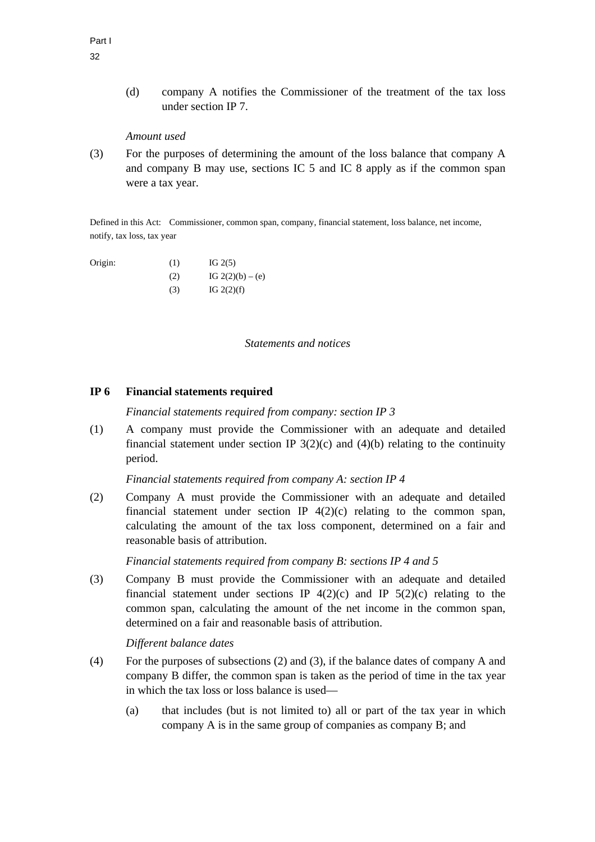(d) company A notifies the Commissioner of the treatment of the tax loss under section IP 7.

# *Amount used*

(3) For the purposes of determining the amount of the loss balance that company A and company B may use, sections IC 5 and IC 8 apply as if the common span were a tax year.

Defined in this Act: Commissioner, common span, company, financial statement, loss balance, net income, notify, tax loss, tax year

- Origin:  $(1)$  IG 2(5) (2)  $IG 2(2)(b) - (e)$ 
	- $IG 2(2)(f)$

#### *Statements and notices*

### **IP 6 Financial statements required**

*Financial statements required from company: section IP 3* 

(1) A company must provide the Commissioner with an adequate and detailed financial statement under section IP  $3(2)(c)$  and  $(4)(b)$  relating to the continuity period.

### *Financial statements required from company A: section IP 4*

(2) Company A must provide the Commissioner with an adequate and detailed financial statement under section IP  $4(2)(c)$  relating to the common span, calculating the amount of the tax loss component, determined on a fair and reasonable basis of attribution.

*Financial statements required from company B: sections IP 4 and 5* 

(3) Company B must provide the Commissioner with an adequate and detailed financial statement under sections IP  $4(2)(c)$  and IP  $5(2)(c)$  relating to the common span, calculating the amount of the net income in the common span, determined on a fair and reasonable basis of attribution.

### *Different balance dates*

- (4) For the purposes of subsections (2) and (3), if the balance dates of company A and company B differ, the common span is taken as the period of time in the tax year in which the tax loss or loss balance is used—
	- (a) that includes (but is not limited to) all or part of the tax year in which company A is in the same group of companies as company B; and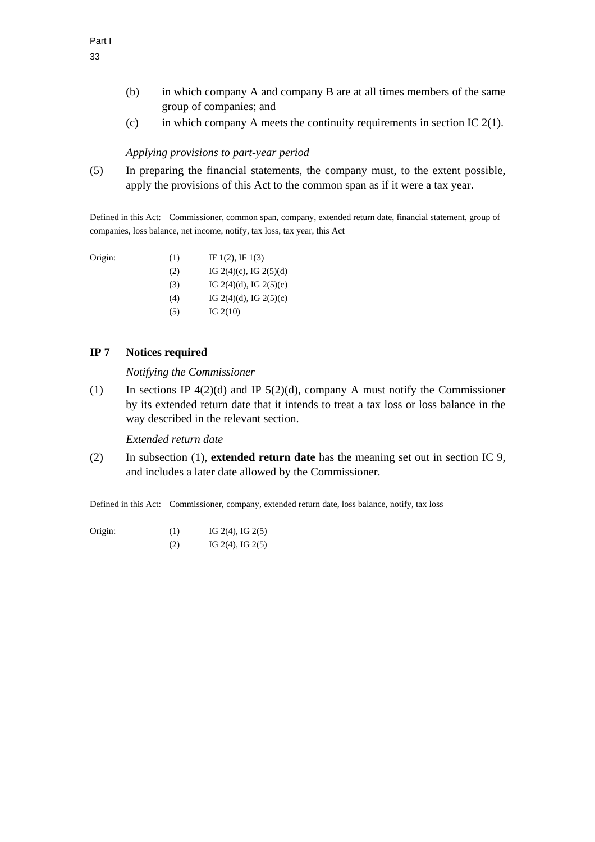- (b) in which company A and company B are at all times members of the same group of companies; and
- (c) in which company A meets the continuity requirements in section IC  $2(1)$ .

### *Applying provisions to part-year period*

(5) In preparing the financial statements, the company must, to the extent possible, apply the provisions of this Act to the common span as if it were a tax year.

Defined in this Act: Commissioner, common span, company, extended return date, financial statement, group of companies, loss balance, net income, notify, tax loss, tax year, this Act

| Origin: | (1) | IF $1(2)$ , IF $1(3)$  |
|---------|-----|------------------------|
|         | (2) | IG 2(4)(c), IG 2(5)(d) |

- (3) IG 2(4)(d), IG 2(5)(c)
- (4) IG 2(4)(d), IG 2(5)(c)
- $IG 2(10)$

# **IP 7 Notices required**

*Notifying the Commissioner* 

(1) In sections IP  $4(2)(d)$  and IP  $5(2)(d)$ , company A must notify the Commissioner by its extended return date that it intends to treat a tax loss or loss balance in the way described in the relevant section.

*Extended return date* 

(2) In subsection (1), **extended return date** has the meaning set out in section IC 9, and includes a later date allowed by the Commissioner.

Defined in this Act: Commissioner, company, extended return date, loss balance, notify, tax loss

- Origin: (1) IG 2(4), IG 2(5)
	- $IG 2(4), IG 2(5)$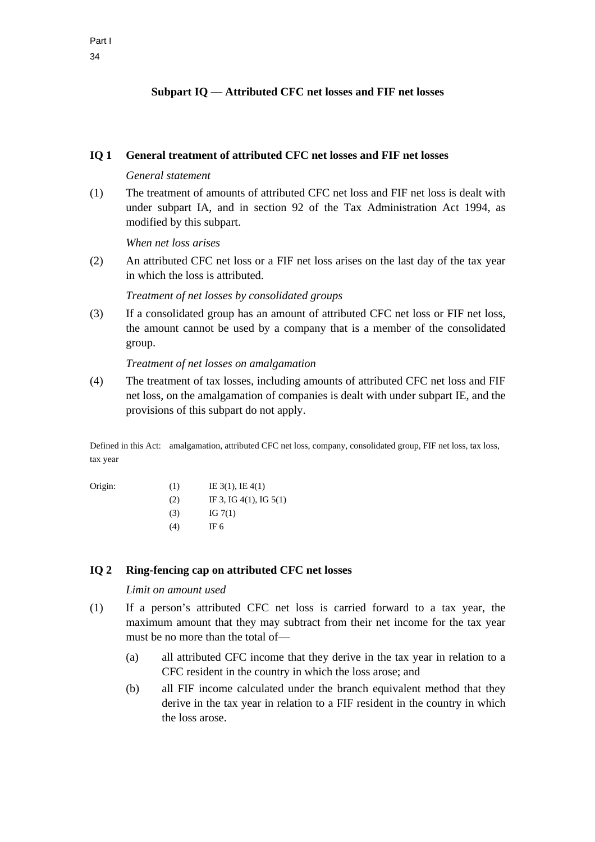# **Subpart IQ — Attributed CFC net losses and FIF net losses**

### **IQ 1 General treatment of attributed CFC net losses and FIF net losses**

### *General statement*

(1) The treatment of amounts of attributed CFC net loss and FIF net loss is dealt with under subpart IA, and in section 92 of the Tax Administration Act 1994, as modified by this subpart.

*When net loss arises* 

(2) An attributed CFC net loss or a FIF net loss arises on the last day of the tax year in which the loss is attributed.

### *Treatment of net losses by consolidated groups*

(3) If a consolidated group has an amount of attributed CFC net loss or FIF net loss, the amount cannot be used by a company that is a member of the consolidated group.

### *Treatment of net losses on amalgamation*

(4) The treatment of tax losses, including amounts of attributed CFC net loss and FIF net loss, on the amalgamation of companies is dealt with under subpart IE, and the provisions of this subpart do not apply.

Defined in this Act: amalgamation, attributed CFC net loss, company, consolidated group, FIF net loss, tax loss, tax year

| Origin: | (1) | IE $3(1)$ , IE $4(1)$       |
|---------|-----|-----------------------------|
|         | (2) | IF 3, IG $4(1)$ , IG $5(1)$ |
|         | (3) | IG $7(1)$                   |
|         | (4) | IF 6                        |

# **IQ 2 Ring-fencing cap on attributed CFC net losses**

### *Limit on amount used*

- (1) If a person's attributed CFC net loss is carried forward to a tax year, the maximum amount that they may subtract from their net income for the tax year must be no more than the total of—
	- (a) all attributed CFC income that they derive in the tax year in relation to a CFC resident in the country in which the loss arose; and
	- (b) all FIF income calculated under the branch equivalent method that they derive in the tax year in relation to a FIF resident in the country in which the loss arose.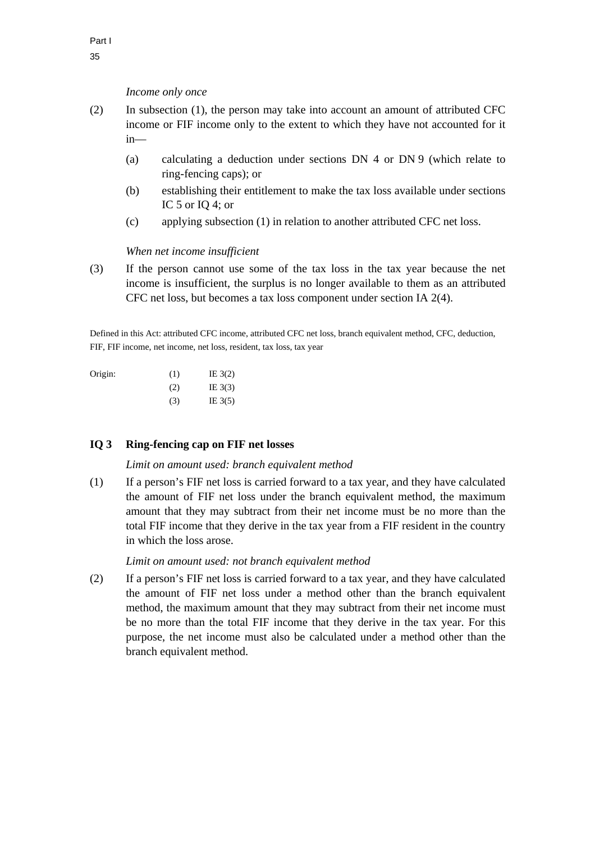### *Income only once*

- (2) In subsection (1), the person may take into account an amount of attributed CFC income or FIF income only to the extent to which they have not accounted for it in—
	- (a) calculating a deduction under sections DN 4 or DN 9 (which relate to ring-fencing caps); or
	- (b) establishing their entitlement to make the tax loss available under sections IC 5 or IQ 4; or
	- (c) applying subsection (1) in relation to another attributed CFC net loss.

### *When net income insufficient*

(3) If the person cannot use some of the tax loss in the tax year because the net income is insufficient, the surplus is no longer available to them as an attributed CFC net loss, but becomes a tax loss component under section IA 2(4).

Defined in this Act: attributed CFC income, attributed CFC net loss, branch equivalent method, CFC, deduction, FIF, FIF income, net income, net loss, resident, tax loss, tax year

| (1) | IE $3(2)$ |
|-----|-----------|
| (2) | IE $3(3)$ |
| (3) | IE $3(5)$ |
|     |           |

# **IQ 3 Ring-fencing cap on FIF net losses**

### *Limit on amount used: branch equivalent method*

(1) If a person's FIF net loss is carried forward to a tax year, and they have calculated the amount of FIF net loss under the branch equivalent method, the maximum amount that they may subtract from their net income must be no more than the total FIF income that they derive in the tax year from a FIF resident in the country in which the loss arose.

*Limit on amount used: not branch equivalent method* 

(2) If a person's FIF net loss is carried forward to a tax year, and they have calculated the amount of FIF net loss under a method other than the branch equivalent method, the maximum amount that they may subtract from their net income must be no more than the total FIF income that they derive in the tax year. For this purpose, the net income must also be calculated under a method other than the branch equivalent method.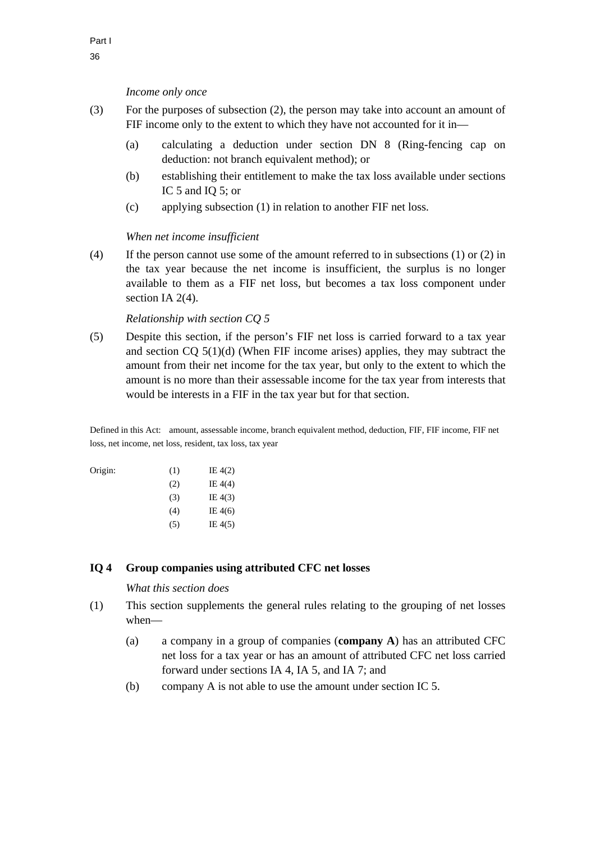#### *Income only once*

- (3) For the purposes of subsection (2), the person may take into account an amount of FIF income only to the extent to which they have not accounted for it in—
	- (a) calculating a deduction under section DN 8 (Ring-fencing cap on deduction: not branch equivalent method); or
	- (b) establishing their entitlement to make the tax loss available under sections IC 5 and IQ 5; or
	- (c) applying subsection (1) in relation to another FIF net loss.

#### *When net income insufficient*

(4) If the person cannot use some of the amount referred to in subsections (1) or (2) in the tax year because the net income is insufficient, the surplus is no longer available to them as a FIF net loss, but becomes a tax loss component under section IA 2(4).

#### *Relationship with section CQ 5*

(5) Despite this section, if the person's FIF net loss is carried forward to a tax year and section  $CQ$  5(1)(d) (When FIF income arises) applies, they may subtract the amount from their net income for the tax year, but only to the extent to which the amount is no more than their assessable income for the tax year from interests that would be interests in a FIF in the tax year but for that section.

Defined in this Act: amount, assessable income, branch equivalent method, deduction, FIF, FIF income, FIF net loss, net income, net loss, resident, tax loss, tax year

| Origin: | (1) | IE $4(2)$ |
|---------|-----|-----------|
|         | (2) | IE $4(4)$ |
|         | (3) | IE $4(3)$ |
|         | (4) | IE $4(6)$ |
|         | (5) | IE $4(5)$ |

### **IQ 4 Group companies using attributed CFC net losses**

#### *What this section does*

- (1) This section supplements the general rules relating to the grouping of net losses when—
	- (a) a company in a group of companies (**company A**) has an attributed CFC net loss for a tax year or has an amount of attributed CFC net loss carried forward under sections IA 4, IA 5, and IA 7; and
	- (b) company A is not able to use the amount under section IC 5.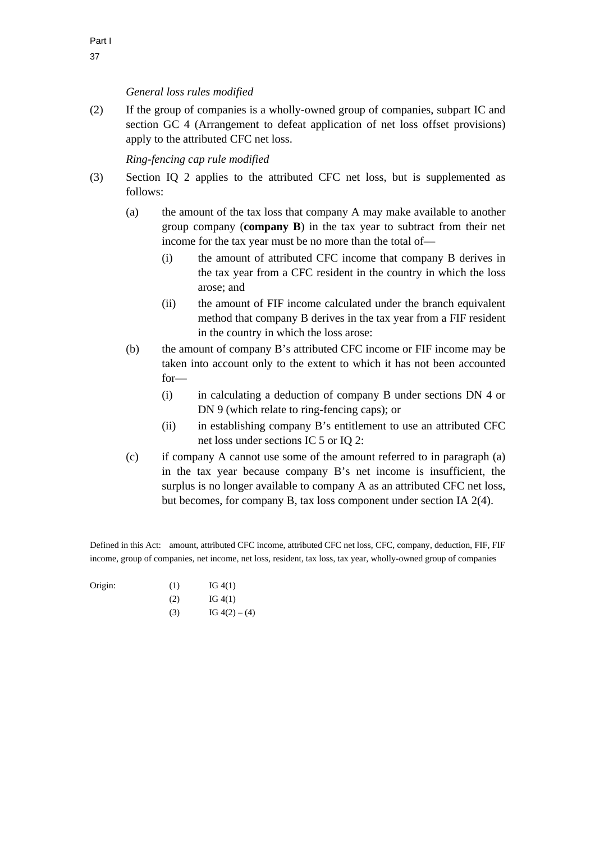# *General loss rules modified*

(2) If the group of companies is a wholly-owned group of companies, subpart IC and section GC 4 (Arrangement to defeat application of net loss offset provisions) apply to the attributed CFC net loss.

# *Ring-fencing cap rule modified*

- (3) Section IQ 2 applies to the attributed CFC net loss, but is supplemented as follows:
	- (a) the amount of the tax loss that company A may make available to another group company (**company B**) in the tax year to subtract from their net income for the tax year must be no more than the total of—
		- (i) the amount of attributed CFC income that company B derives in the tax year from a CFC resident in the country in which the loss arose; and
		- (ii) the amount of FIF income calculated under the branch equivalent method that company B derives in the tax year from a FIF resident in the country in which the loss arose:
	- (b) the amount of company B's attributed CFC income or FIF income may be taken into account only to the extent to which it has not been accounted for—
		- (i) in calculating a deduction of company B under sections DN 4 or DN 9 (which relate to ring-fencing caps); or
		- (ii) in establishing company B's entitlement to use an attributed CFC net loss under sections IC 5 or IQ 2:
	- (c) if company A cannot use some of the amount referred to in paragraph (a) in the tax year because company B's net income is insufficient, the surplus is no longer available to company A as an attributed CFC net loss, but becomes, for company B, tax loss component under section IA 2(4).

Defined in this Act: amount, attributed CFC income, attributed CFC net loss, CFC, company, deduction, FIF, FIF income, group of companies, net income, net loss, resident, tax loss, tax year, wholly-owned group of companies

| Origin: | (1) | IG $4(1)$ |
|---------|-----|-----------|
|         | (2) | IG $4(1)$ |

(3) IG  $4(2) - (4)$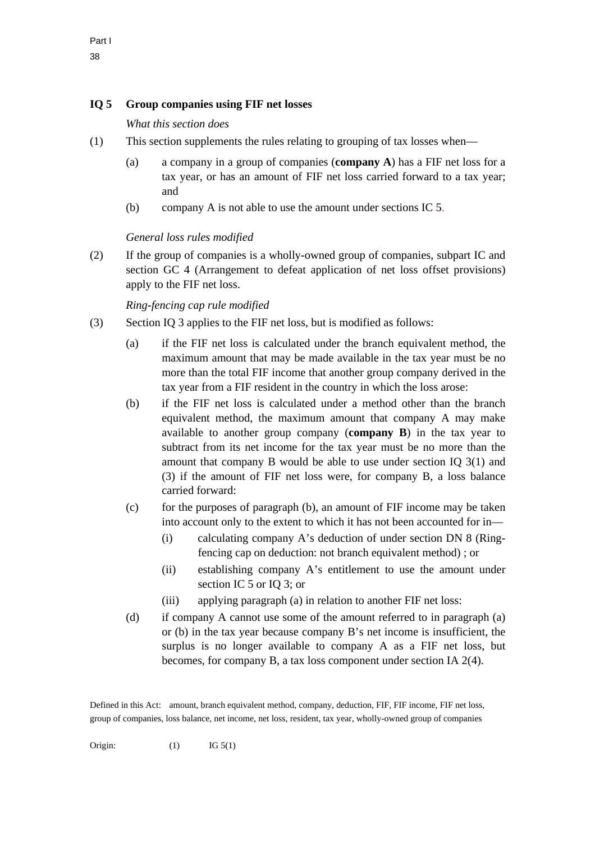# **IQ 5 Group companies using FIF net losses**

*What this section does* 

- (1) This section supplements the rules relating to grouping of tax losses when—
	- (a) a company in a group of companies (**company A**) has a FIF net loss for a tax year, or has an amount of FIF net loss carried forward to a tax year; and
	- (b) company A is not able to use the amount under sections IC 5.

# *General loss rules modified*

(2) If the group of companies is a wholly-owned group of companies, subpart IC and section GC 4 (Arrangement to defeat application of net loss offset provisions) apply to the FIF net loss.

# *Ring-fencing cap rule modified*

- (3) Section IQ 3 applies to the FIF net loss, but is modified as follows:
	- (a) if the FIF net loss is calculated under the branch equivalent method, the maximum amount that may be made available in the tax year must be no more than the total FIF income that another group company derived in the tax year from a FIF resident in the country in which the loss arose:
	- (b) if the FIF net loss is calculated under a method other than the branch equivalent method, the maximum amount that company A may make available to another group company (**company B**) in the tax year to subtract from its net income for the tax year must be no more than the amount that company B would be able to use under section IQ 3(1) and (3) if the amount of FIF net loss were, for company B, a loss balance carried forward:
	- (c) for the purposes of paragraph (b), an amount of FIF income may be taken into account only to the extent to which it has not been accounted for in—
		- (i) calculating company A's deduction of under section DN 8 (Ringfencing cap on deduction: not branch equivalent method) ; or
		- (ii) establishing company A's entitlement to use the amount under section IC 5 or IQ 3; or
		- (iii) applying paragraph (a) in relation to another FIF net loss:
	- (d) if company A cannot use some of the amount referred to in paragraph (a) or (b) in the tax year because company B's net income is insufficient, the surplus is no longer available to company A as a FIF net loss, but becomes, for company B, a tax loss component under section IA 2(4).

Defined in this Act: amount, branch equivalent method, company, deduction, FIF, FIF income, FIF net loss, group of companies, loss balance, net income, net loss, resident, tax year, wholly-owned group of companies

Origin:  $(1)$  IG 5(1)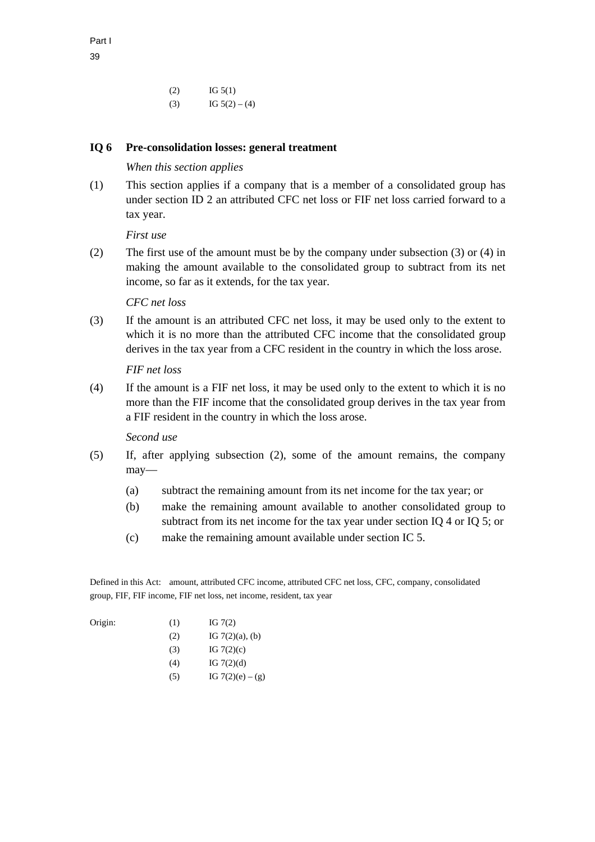$I = \text{IG } 5(1)$ (3) IG  $5(2) - (4)$ 

### **IQ 6 Pre-consolidation losses: general treatment**

### *When this section applies*

(1) This section applies if a company that is a member of a consolidated group has under section ID 2 an attributed CFC net loss or FIF net loss carried forward to a tax year.

*First use* 

(2) The first use of the amount must be by the company under subsection (3) or (4) in making the amount available to the consolidated group to subtract from its net income, so far as it extends, for the tax year.

### *CFC net loss*

(3) If the amount is an attributed CFC net loss, it may be used only to the extent to which it is no more than the attributed CFC income that the consolidated group derives in the tax year from a CFC resident in the country in which the loss arose.

*FIF net loss* 

(4) If the amount is a FIF net loss, it may be used only to the extent to which it is no more than the FIF income that the consolidated group derives in the tax year from a FIF resident in the country in which the loss arose.

### *Second use*

- (5) If, after applying subsection (2), some of the amount remains, the company may—
	- (a) subtract the remaining amount from its net income for the tax year; or
	- (b) make the remaining amount available to another consolidated group to subtract from its net income for the tax year under section IQ 4 or IQ 5; or
	- (c) make the remaining amount available under section IC 5.

Defined in this Act: amount, attributed CFC income, attributed CFC net loss, CFC, company, consolidated group, FIF, FIF income, FIF net loss, net income, resident, tax year

| Origin: | (1)    | IG $7(2)$              |
|---------|--------|------------------------|
|         | (2)    | IG $7(2)(a)$ , (b)     |
|         | (3)    | IG $7(2)(c)$           |
|         | (4)    | IG $7(2)(d)$           |
|         | $\sim$ | TO F (A) ( )<br>$\sim$ |

(5) IG  $7(2)(e) - (g)$ 

Part I 39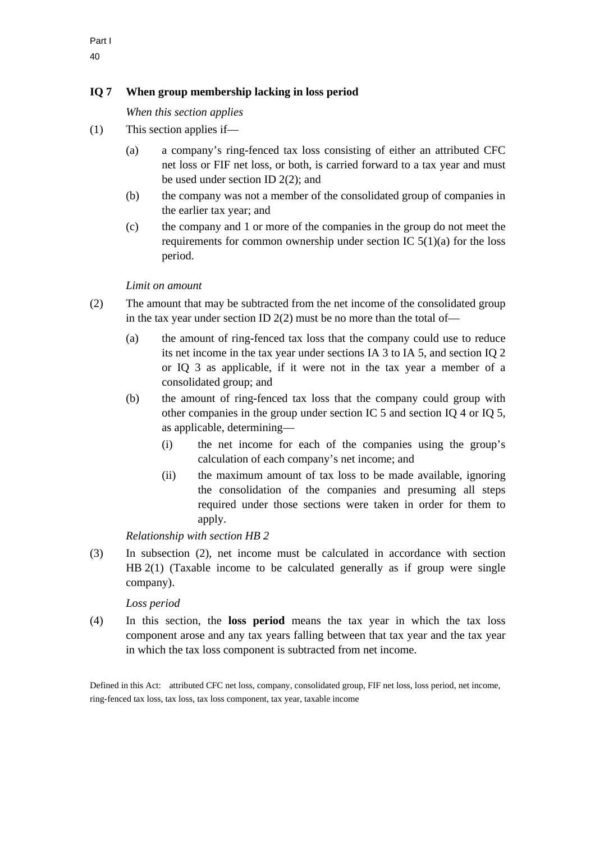# **IQ 7 When group membership lacking in loss period**

*When this section applies* 

- (1) This section applies if—
	- (a) a company's ring-fenced tax loss consisting of either an attributed CFC net loss or FIF net loss, or both, is carried forward to a tax year and must be used under section ID 2(2); and
	- (b) the company was not a member of the consolidated group of companies in the earlier tax year; and
	- (c) the company and 1 or more of the companies in the group do not meet the requirements for common ownership under section IC  $5(1)(a)$  for the loss period.

### *Limit on amount*

- (2) The amount that may be subtracted from the net income of the consolidated group in the tax year under section ID  $2(2)$  must be no more than the total of—
	- (a) the amount of ring-fenced tax loss that the company could use to reduce its net income in the tax year under sections IA 3 to IA 5, and section IQ 2 or IQ 3 as applicable, if it were not in the tax year a member of a consolidated group; and
	- (b) the amount of ring-fenced tax loss that the company could group with other companies in the group under section IC 5 and section IQ 4 or IQ 5, as applicable, determining—
		- (i) the net income for each of the companies using the group's calculation of each company's net income; and
		- (ii) the maximum amount of tax loss to be made available, ignoring the consolidation of the companies and presuming all steps required under those sections were taken in order for them to apply.

*Relationship with section HB 2* 

(3) In subsection (2), net income must be calculated in accordance with section HB 2(1) (Taxable income to be calculated generally as if group were single company).

# *Loss period*

(4) In this section, the **loss period** means the tax year in which the tax loss component arose and any tax years falling between that tax year and the tax year in which the tax loss component is subtracted from net income.

Defined in this Act: attributed CFC net loss, company, consolidated group, FIF net loss, loss period, net income, ring-fenced tax loss, tax loss, tax loss component, tax year, taxable income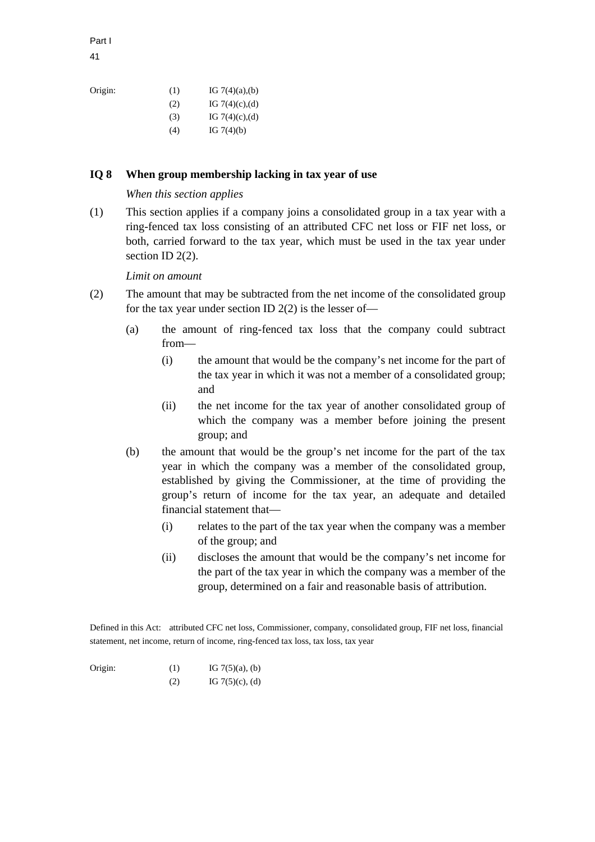41

| Origin: | (1) | IG $7(4)(a)$ , (b) |
|---------|-----|--------------------|
|         | (2) | IG $7(4)(c)$ , (d) |
|         | (3) | IG $7(4)(c)$ , (d) |
|         | (4) | IG $7(4)(b)$       |

# **IQ 8 When group membership lacking in tax year of use**

### *When this section applies*

(1) This section applies if a company joins a consolidated group in a tax year with a ring-fenced tax loss consisting of an attributed CFC net loss or FIF net loss, or both, carried forward to the tax year, which must be used in the tax year under section ID 2(2).

### *Limit on amount*

- (2) The amount that may be subtracted from the net income of the consolidated group for the tax year under section ID  $2(2)$  is the lesser of-
	- (a) the amount of ring-fenced tax loss that the company could subtract from—
		- (i) the amount that would be the company's net income for the part of the tax year in which it was not a member of a consolidated group; and
		- (ii) the net income for the tax year of another consolidated group of which the company was a member before joining the present group; and
	- (b) the amount that would be the group's net income for the part of the tax year in which the company was a member of the consolidated group, established by giving the Commissioner, at the time of providing the group's return of income for the tax year, an adequate and detailed financial statement that—
		- (i) relates to the part of the tax year when the company was a member of the group; and
		- (ii) discloses the amount that would be the company's net income for the part of the tax year in which the company was a member of the group, determined on a fair and reasonable basis of attribution.

Defined in this Act: attributed CFC net loss, Commissioner, company, consolidated group, FIF net loss, financial statement, net income, return of income, ring-fenced tax loss, tax loss, tax year

| (2) | IG $7(5)(c)$ , (d) |
|-----|--------------------|
|-----|--------------------|

Part I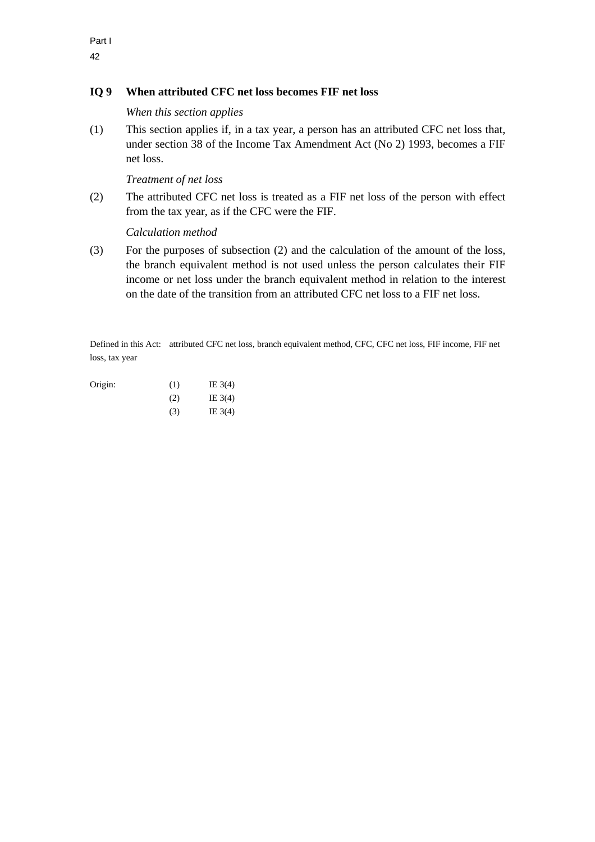# **IQ 9 When attributed CFC net loss becomes FIF net loss**

*When this section applies* 

(1) This section applies if, in a tax year, a person has an attributed CFC net loss that, under section 38 of the Income Tax Amendment Act (No 2) 1993, becomes a FIF net loss.

*Treatment of net loss* 

(2) The attributed CFC net loss is treated as a FIF net loss of the person with effect from the tax year, as if the CFC were the FIF.

*Calculation method* 

(3) For the purposes of subsection (2) and the calculation of the amount of the loss, the branch equivalent method is not used unless the person calculates their FIF income or net loss under the branch equivalent method in relation to the interest on the date of the transition from an attributed CFC net loss to a FIF net loss.

Defined in this Act: attributed CFC net loss, branch equivalent method, CFC, CFC net loss, FIF income, FIF net loss, tax year

| Origin: | (1) | IE $3(4)$ |
|---------|-----|-----------|
|         | (2) | IE $3(4)$ |
|         | (3) | IE $3(4)$ |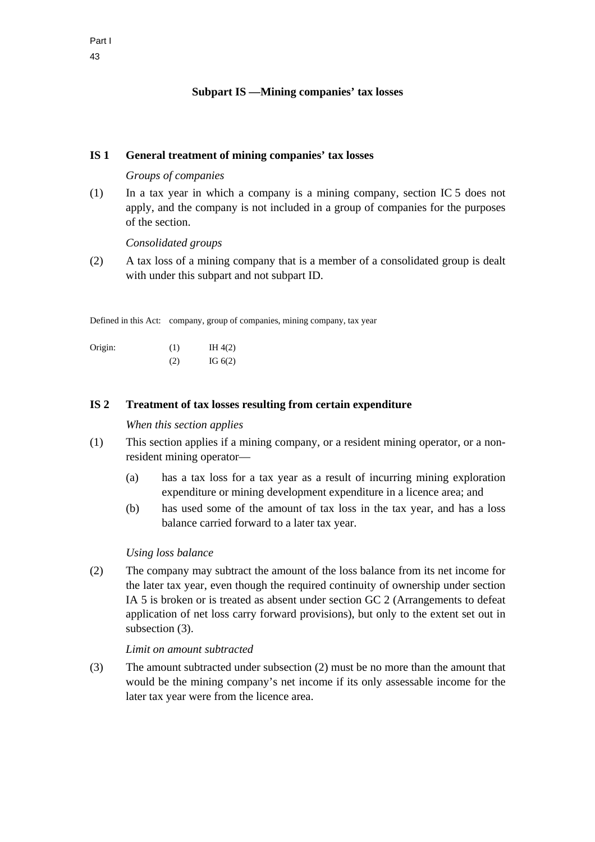# **Subpart IS —Mining companies' tax losses**

#### **IS 1 General treatment of mining companies' tax losses**

#### *Groups of companies*

(1) In a tax year in which a company is a mining company, section IC 5 does not apply, and the company is not included in a group of companies for the purposes of the section.

*Consolidated groups* 

(2) A tax loss of a mining company that is a member of a consolidated group is dealt with under this subpart and not subpart ID.

Defined in this Act: company, group of companies, mining company, tax year

Origin:  $(1)$  IH 4(2)  $I = \text{IG } 6(2)$ 

#### **IS 2 Treatment of tax losses resulting from certain expenditure**

### *When this section applies*

- (1) This section applies if a mining company, or a resident mining operator, or a nonresident mining operator—
	- (a) has a tax loss for a tax year as a result of incurring mining exploration expenditure or mining development expenditure in a licence area; and
	- (b) has used some of the amount of tax loss in the tax year, and has a loss balance carried forward to a later tax year.

#### *Using loss balance*

(2) The company may subtract the amount of the loss balance from its net income for the later tax year, even though the required continuity of ownership under section IA 5 is broken or is treated as absent under section GC 2 (Arrangements to defeat application of net loss carry forward provisions), but only to the extent set out in subsection (3).

#### *Limit on amount subtracted*

(3) The amount subtracted under subsection (2) must be no more than the amount that would be the mining company's net income if its only assessable income for the later tax year were from the licence area.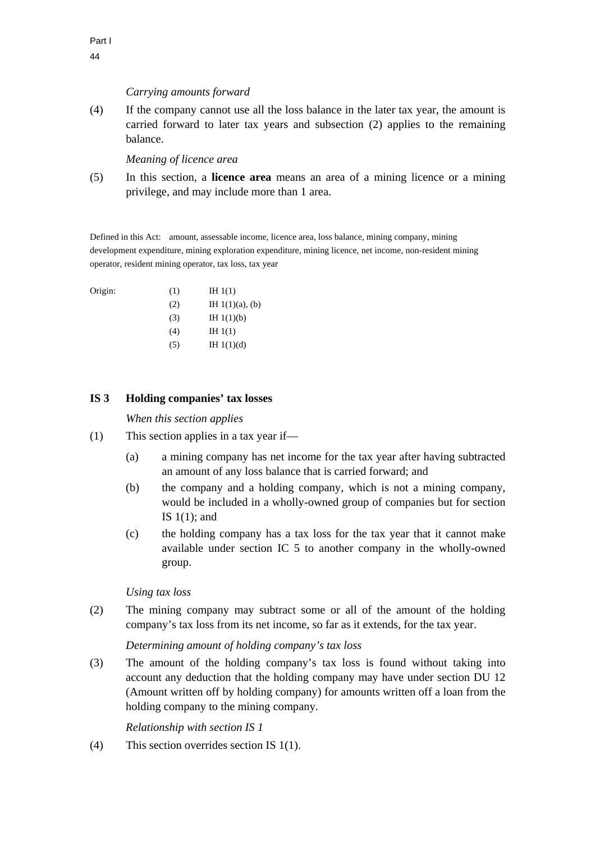Origin:

### *Carrying amounts forward*

(4) If the company cannot use all the loss balance in the later tax year, the amount is carried forward to later tax years and subsection (2) applies to the remaining balance.

*Meaning of licence area* 

(5) In this section, a **licence area** means an area of a mining licence or a mining privilege, and may include more than 1 area.

Defined in this Act: amount, assessable income, licence area, loss balance, mining company, mining development expenditure, mining exploration expenditure, mining licence, net income, non-resident mining operator, resident mining operator, tax loss, tax year

| Origin: | (1) | IH $1(1)$          |
|---------|-----|--------------------|
|         | (2) | IH $1(1)(a)$ , (b) |
|         | (3) | IH $1(1)(b)$       |
|         | (4) | IH $1(1)$          |
|         | (5) | IH $1(1)(d)$       |

### **IS 3 Holding companies' tax losses**

### *When this section applies*

- (1) This section applies in a tax year if—
	- (a) a mining company has net income for the tax year after having subtracted an amount of any loss balance that is carried forward; and
	- (b) the company and a holding company, which is not a mining company, would be included in a wholly-owned group of companies but for section IS  $1(1)$ ; and
	- (c) the holding company has a tax loss for the tax year that it cannot make available under section IC 5 to another company in the wholly-owned group.

# *Using tax loss*

(2) The mining company may subtract some or all of the amount of the holding company's tax loss from its net income, so far as it extends, for the tax year.

### *Determining amount of holding company's tax loss*

(3) The amount of the holding company's tax loss is found without taking into account any deduction that the holding company may have under section DU 12 (Amount written off by holding company) for amounts written off a loan from the holding company to the mining company.

*Relationship with section IS 1* 

(4) This section overrides section IS 1(1).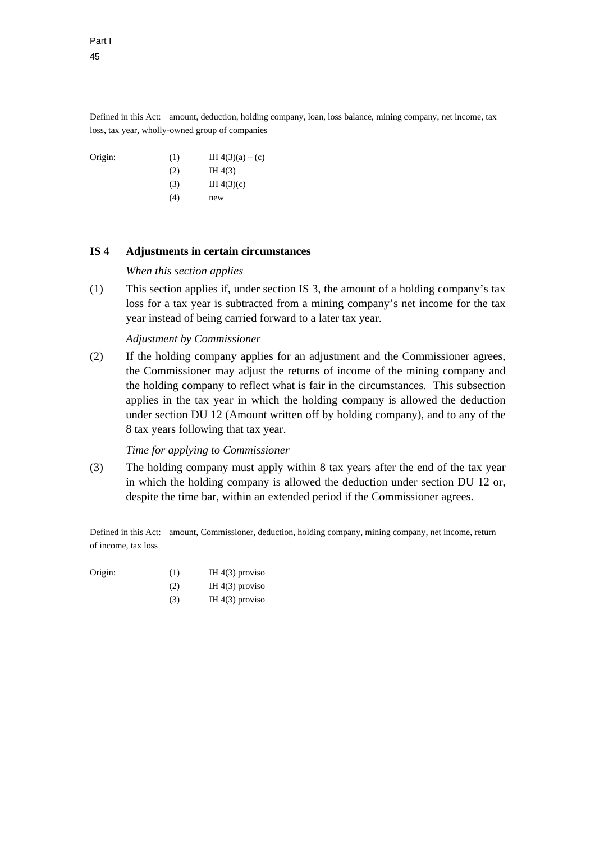Defined in this Act: amount, deduction, holding company, loan, loss balance, mining company, net income, tax loss, tax year, wholly-owned group of companies

Origin: (1) IH  $4(3)(a) - (c)$  $(H 4(3))$  $(H 4(3)(c))$  $(4)$  new

## **IS 4 Adjustments in certain circumstances**

#### *When this section applies*

(1) This section applies if, under section IS 3, the amount of a holding company's tax loss for a tax year is subtracted from a mining company's net income for the tax year instead of being carried forward to a later tax year.

#### *Adjustment by Commissioner*

(2) If the holding company applies for an adjustment and the Commissioner agrees, the Commissioner may adjust the returns of income of the mining company and the holding company to reflect what is fair in the circumstances. This subsection applies in the tax year in which the holding company is allowed the deduction under section DU 12 (Amount written off by holding company), and to any of the 8 tax years following that tax year.

#### *Time for applying to Commissioner*

(3) The holding company must apply within 8 tax years after the end of the tax year in which the holding company is allowed the deduction under section DU 12 or, despite the time bar, within an extended period if the Commissioner agrees.

Defined in this Act: amount, Commissioner, deduction, holding company, mining company, net income, return of income, tax loss

| Origin: | (1) | IH $4(3)$ proviso |
|---------|-----|-------------------|
|         | (2) | IH $4(3)$ proviso |

(3) IH  $4(3)$  proviso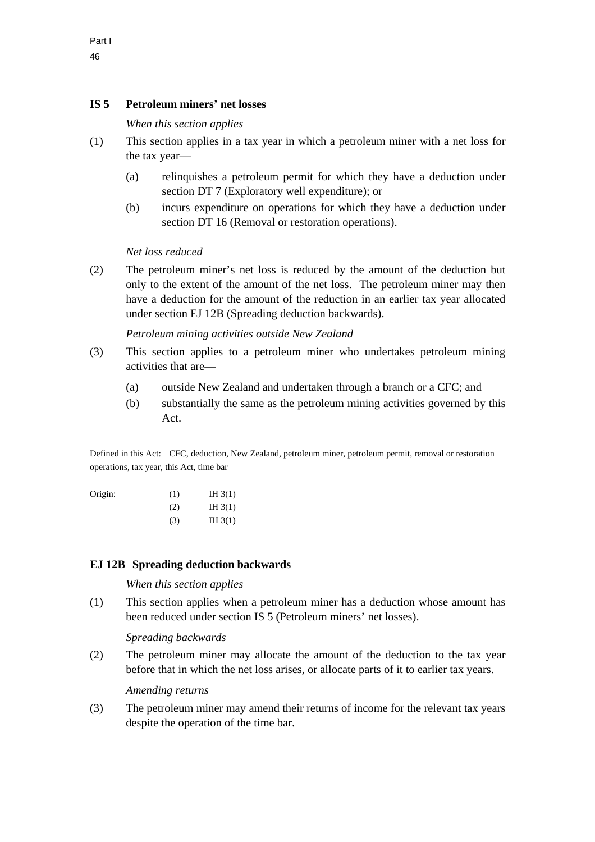## **IS 5 Petroleum miners' net losses**

*When this section applies* 

- (1) This section applies in a tax year in which a petroleum miner with a net loss for the tax year—
	- (a) relinquishes a petroleum permit for which they have a deduction under section DT 7 (Exploratory well expenditure); or
	- (b) incurs expenditure on operations for which they have a deduction under section DT 16 (Removal or restoration operations).

#### *Net loss reduced*

(2) The petroleum miner's net loss is reduced by the amount of the deduction but only to the extent of the amount of the net loss. The petroleum miner may then have a deduction for the amount of the reduction in an earlier tax year allocated under section EJ 12B (Spreading deduction backwards).

*Petroleum mining activities outside New Zealand* 

- (3) This section applies to a petroleum miner who undertakes petroleum mining activities that are—
	- (a) outside New Zealand and undertaken through a branch or a CFC; and
	- (b) substantially the same as the petroleum mining activities governed by this Act.

Defined in this Act: CFC, deduction, New Zealand, petroleum miner, petroleum permit, removal or restoration operations, tax year, this Act, time bar

| Origin: | (1) | IH $3(1)$ |
|---------|-----|-----------|
|         | (2) | IH $3(1)$ |
|         | (3) | IH $3(1)$ |

### **EJ 12B Spreading deduction backwards**

#### *When this section applies*

(1) This section applies when a petroleum miner has a deduction whose amount has been reduced under section IS 5 (Petroleum miners' net losses).

*Spreading backwards* 

(2) The petroleum miner may allocate the amount of the deduction to the tax year before that in which the net loss arises, or allocate parts of it to earlier tax years.

*Amending returns* 

(3) The petroleum miner may amend their returns of income for the relevant tax years despite the operation of the time bar.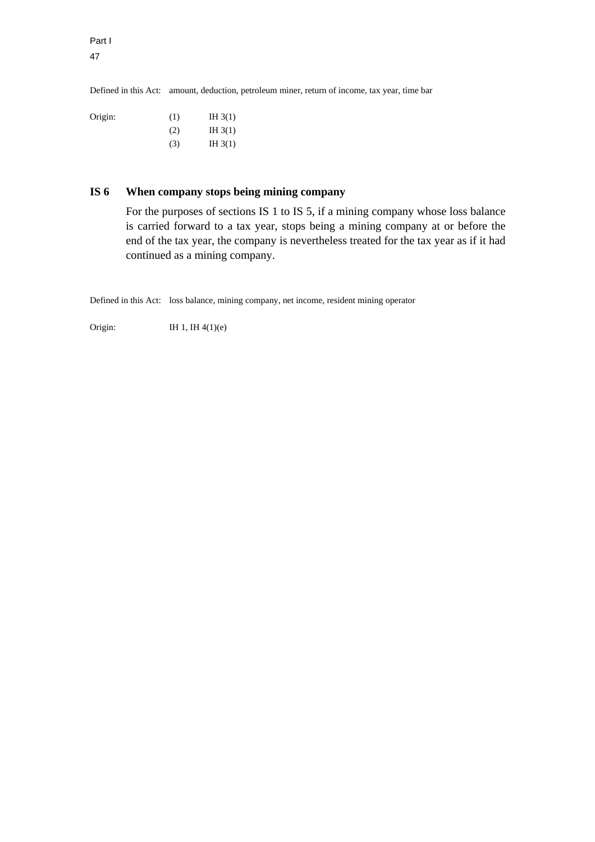47

Part I

Defined in this Act: amount, deduction, petroleum miner, return of income, tax year, time bar

| Origin: | (1) | IH $3(1)$ |
|---------|-----|-----------|
|         | (2) | IH $3(1)$ |
|         | (3) | IH $3(1)$ |

# **IS 6 When company stops being mining company**

For the purposes of sections IS 1 to IS 5, if a mining company whose loss balance is carried forward to a tax year, stops being a mining company at or before the end of the tax year, the company is nevertheless treated for the tax year as if it had continued as a mining company.

Defined in this Act: loss balance, mining company, net income, resident mining operator

Origin: IH 1, IH  $4(1)(e)$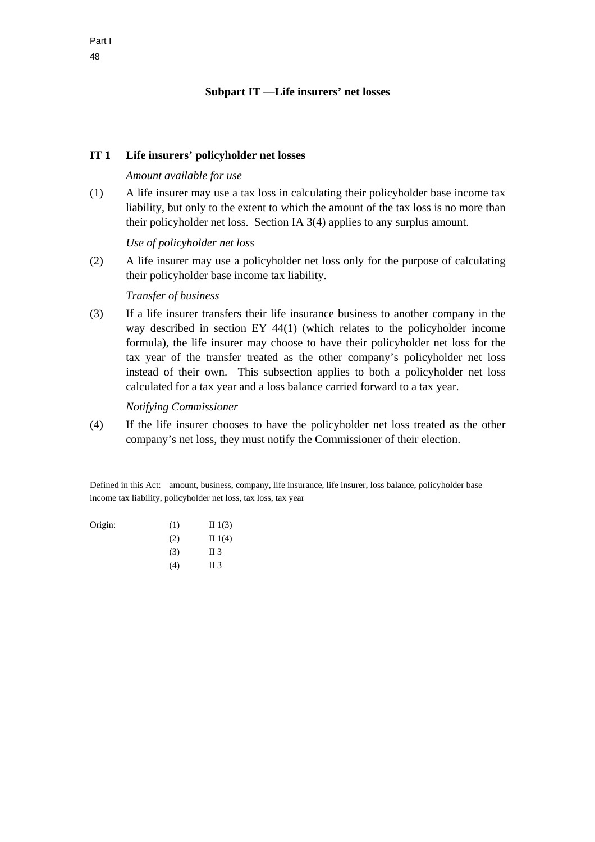### **Subpart IT —Life insurers' net losses**

### **IT 1 Life insurers' policyholder net losses**

#### *Amount available for use*

(1) A life insurer may use a tax loss in calculating their policyholder base income tax liability, but only to the extent to which the amount of the tax loss is no more than their policyholder net loss. Section IA 3(4) applies to any surplus amount.

#### *Use of policyholder net loss*

(2) A life insurer may use a policyholder net loss only for the purpose of calculating their policyholder base income tax liability.

#### *Transfer of business*

(3) If a life insurer transfers their life insurance business to another company in the way described in section EY 44(1) (which relates to the policyholder income formula), the life insurer may choose to have their policyholder net loss for the tax year of the transfer treated as the other company's policyholder net loss instead of their own. This subsection applies to both a policyholder net loss calculated for a tax year and a loss balance carried forward to a tax year.

#### *Notifying Commissioner*

(4) If the life insurer chooses to have the policyholder net loss treated as the other company's net loss, they must notify the Commissioner of their election.

Defined in this Act: amount, business, company, life insurance, life insurer, loss balance, policyholder base income tax liability, policyholder net loss, tax loss, tax year

| Origin: | (1) | II $1(3)$       |
|---------|-----|-----------------|
|         | (2) | II $1(4)$       |
|         | (3) | II <sub>3</sub> |
|         | (4) | II 3            |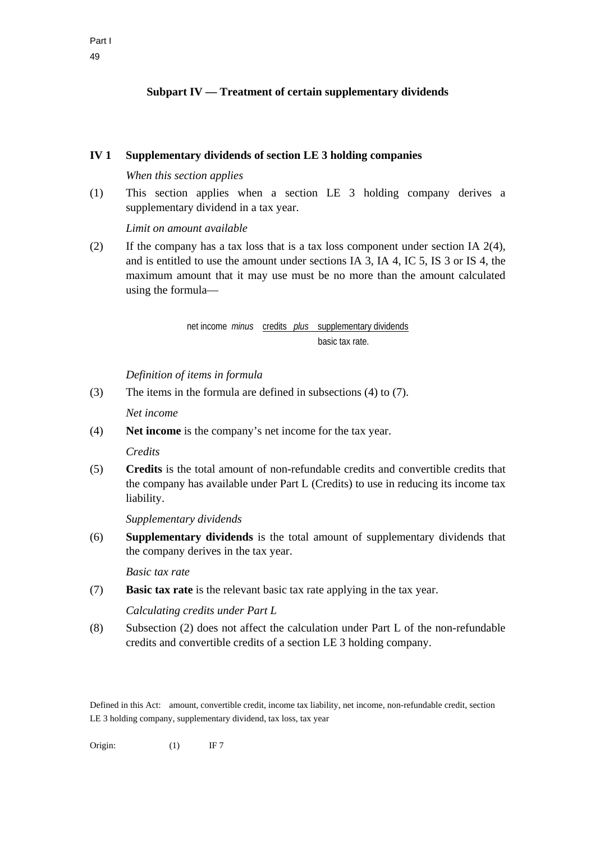# **Subpart IV — Treatment of certain supplementary dividends**

### **IV 1 Supplementary dividends of section LE 3 holding companies**

## *When this section applies*

(1) This section applies when a section LE 3 holding company derives a supplementary dividend in a tax year.

*Limit on amount available* 

(2) If the company has a tax loss that is a tax loss component under section IA 2(4), and is entitled to use the amount under sections IA 3, IA 4, IC 5, IS 3 or IS 4, the maximum amount that it may use must be no more than the amount calculated using the formula—

# net income *minus* credits *plus* supplementary dividends basic tax rate.

*Definition of items in formula* 

(3) The items in the formula are defined in subsections (4) to (7).

*Net income* 

(4) **Net income** is the company's net income for the tax year.

### *Credits*

(5) **Credits** is the total amount of non-refundable credits and convertible credits that the company has available under Part L (Credits) to use in reducing its income tax liability.

*Supplementary dividends* 

(6) **Supplementary dividends** is the total amount of supplementary dividends that the company derives in the tax year.

*Basic tax rate* 

(7) **Basic tax rate** is the relevant basic tax rate applying in the tax year.

*Calculating credits under Part L* 

(8) Subsection (2) does not affect the calculation under Part L of the non-refundable credits and convertible credits of a section LE 3 holding company.

Defined in this Act: amount, convertible credit, income tax liability, net income, non-refundable credit, section LE 3 holding company, supplementary dividend, tax loss, tax year

Origin: (1) IF 7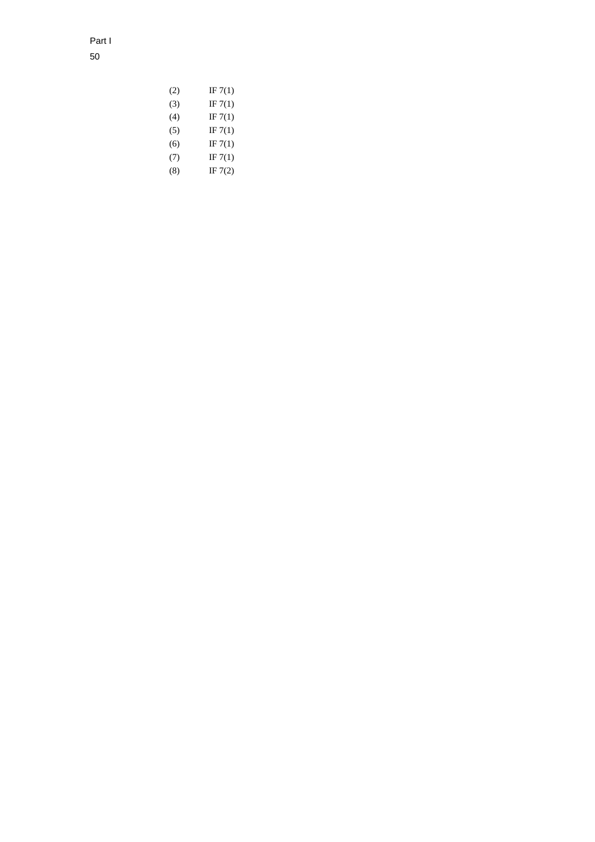Part I 50

| (2) | IF $7(1)$ |
|-----|-----------|
| (3) | IF $7(1)$ |
| (4) | IF $7(1)$ |
| (5) | IF $7(1)$ |
| (6) | IF $7(1)$ |
| (7) | IF $7(1)$ |
| (8) | IF $7(2)$ |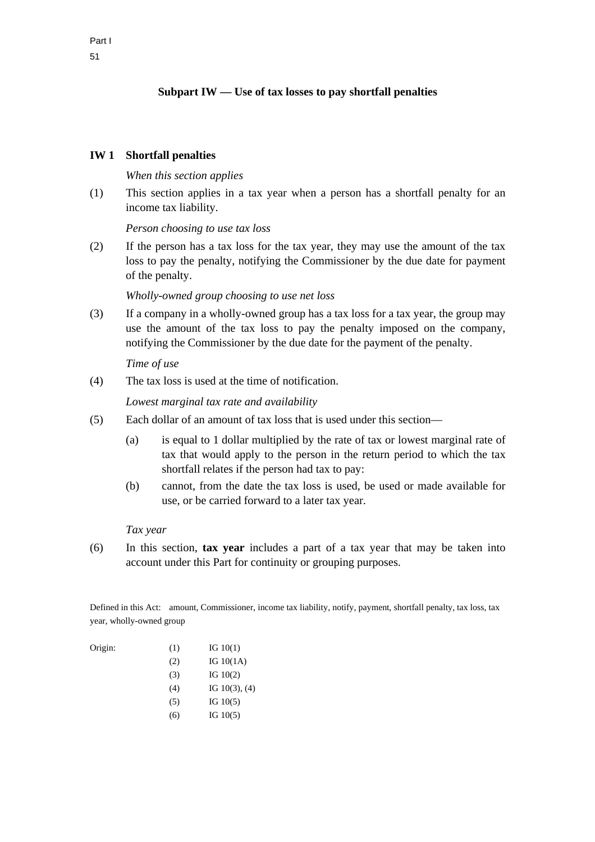# **Subpart IW — Use of tax losses to pay shortfall penalties**

### **IW 1 Shortfall penalties**

### *When this section applies*

(1) This section applies in a tax year when a person has a shortfall penalty for an income tax liability.

*Person choosing to use tax loss* 

(2) If the person has a tax loss for the tax year, they may use the amount of the tax loss to pay the penalty, notifying the Commissioner by the due date for payment of the penalty.

### *Wholly-owned group choosing to use net loss*

(3) If a company in a wholly-owned group has a tax loss for a tax year, the group may use the amount of the tax loss to pay the penalty imposed on the company, notifying the Commissioner by the due date for the payment of the penalty.

### *Time of use*

(4) The tax loss is used at the time of notification.

*Lowest marginal tax rate and availability* 

- (5) Each dollar of an amount of tax loss that is used under this section—
	- (a) is equal to 1 dollar multiplied by the rate of tax or lowest marginal rate of tax that would apply to the person in the return period to which the tax shortfall relates if the person had tax to pay:
	- (b) cannot, from the date the tax loss is used, be used or made available for use, or be carried forward to a later tax year.

### *Tax year*

(6) In this section, **tax year** includes a part of a tax year that may be taken into account under this Part for continuity or grouping purposes.

Defined in this Act: amount, Commissioner, income tax liability, notify, payment, shortfall penalty, tax loss, tax year, wholly-owned group

| Origin: | (1) | IG $10(1)$         |
|---------|-----|--------------------|
|         | (2) | IG $10(1A)$        |
|         | (3) | IG $10(2)$         |
|         | (4) | IG $10(3)$ , $(4)$ |
|         | (5) | IG $10(5)$         |
|         | (6) | IG $10(5)$         |
|         |     |                    |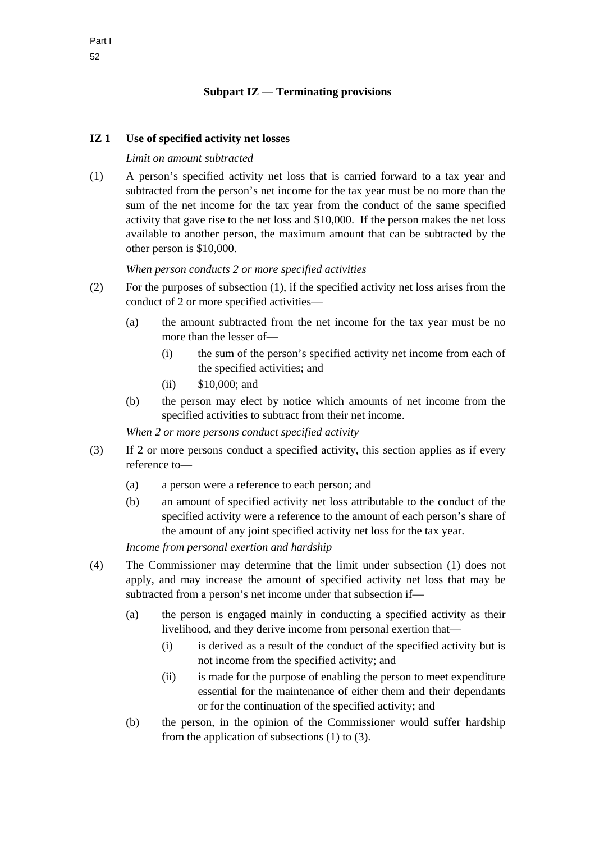# **IZ 1 Use of specified activity net losses**

### *Limit on amount subtracted*

(1) A person's specified activity net loss that is carried forward to a tax year and subtracted from the person's net income for the tax year must be no more than the sum of the net income for the tax year from the conduct of the same specified activity that gave rise to the net loss and \$10,000. If the person makes the net loss available to another person, the maximum amount that can be subtracted by the other person is \$10,000.

### *When person conducts 2 or more specified activities*

- (2) For the purposes of subsection (1), if the specified activity net loss arises from the conduct of 2 or more specified activities—
	- (a) the amount subtracted from the net income for the tax year must be no more than the lesser of—
		- (i) the sum of the person's specified activity net income from each of the specified activities; and
		- (ii) \$10,000; and
	- (b) the person may elect by notice which amounts of net income from the specified activities to subtract from their net income.

*When 2 or more persons conduct specified activity* 

- (3) If 2 or more persons conduct a specified activity, this section applies as if every reference to—
	- (a) a person were a reference to each person; and
	- (b) an amount of specified activity net loss attributable to the conduct of the specified activity were a reference to the amount of each person's share of the amount of any joint specified activity net loss for the tax year.

*Income from personal exertion and hardship* 

- (4) The Commissioner may determine that the limit under subsection (1) does not apply, and may increase the amount of specified activity net loss that may be subtracted from a person's net income under that subsection if—
	- (a) the person is engaged mainly in conducting a specified activity as their livelihood, and they derive income from personal exertion that—
		- (i) is derived as a result of the conduct of the specified activity but is not income from the specified activity; and
		- (ii) is made for the purpose of enabling the person to meet expenditure essential for the maintenance of either them and their dependants or for the continuation of the specified activity; and
	- (b) the person, in the opinion of the Commissioner would suffer hardship from the application of subsections (1) to (3).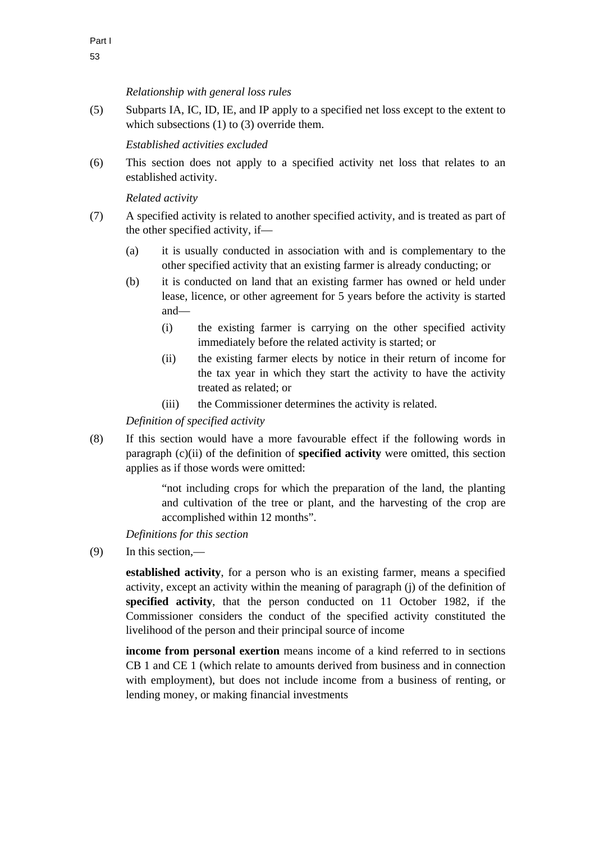*Relationship with general loss rules* 

(5) Subparts IA, IC, ID, IE, and IP apply to a specified net loss except to the extent to which subsections (1) to (3) override them.

*Established activities excluded* 

(6) This section does not apply to a specified activity net loss that relates to an established activity.

# *Related activity*

- (7) A specified activity is related to another specified activity, and is treated as part of the other specified activity, if—
	- (a) it is usually conducted in association with and is complementary to the other specified activity that an existing farmer is already conducting; or
	- (b) it is conducted on land that an existing farmer has owned or held under lease, licence, or other agreement for 5 years before the activity is started and—
		- (i) the existing farmer is carrying on the other specified activity immediately before the related activity is started; or
		- (ii) the existing farmer elects by notice in their return of income for the tax year in which they start the activity to have the activity treated as related; or
		- (iii) the Commissioner determines the activity is related.

*Definition of specified activity* 

(8) If this section would have a more favourable effect if the following words in paragraph (c)(ii) of the definition of **specified activity** were omitted, this section applies as if those words were omitted:

> "not including crops for which the preparation of the land, the planting and cultivation of the tree or plant, and the harvesting of the crop are accomplished within 12 months".

*Definitions for this section* 

(9) In this section,—

**established activity**, for a person who is an existing farmer, means a specified activity, except an activity within the meaning of paragraph (j) of the definition of **specified activity**, that the person conducted on 11 October 1982, if the Commissioner considers the conduct of the specified activity constituted the livelihood of the person and their principal source of income

**income from personal exertion** means income of a kind referred to in sections CB 1 and CE 1 (which relate to amounts derived from business and in connection with employment), but does not include income from a business of renting, or lending money, or making financial investments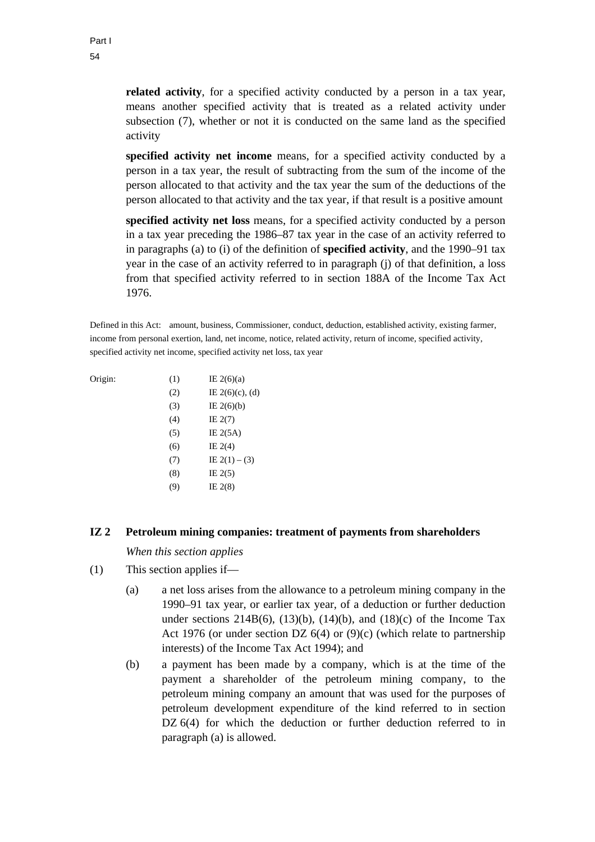**related activity**, for a specified activity conducted by a person in a tax year, means another specified activity that is treated as a related activity under subsection (7), whether or not it is conducted on the same land as the specified activity

**specified activity net income** means, for a specified activity conducted by a person in a tax year, the result of subtracting from the sum of the income of the person allocated to that activity and the tax year the sum of the deductions of the person allocated to that activity and the tax year, if that result is a positive amount

**specified activity net loss** means, for a specified activity conducted by a person in a tax year preceding the 1986–87 tax year in the case of an activity referred to in paragraphs (a) to (i) of the definition of **specified activity**, and the 1990–91 tax year in the case of an activity referred to in paragraph (j) of that definition, a loss from that specified activity referred to in section 188A of the Income Tax Act 1976.

Defined in this Act: amount, business, Commissioner, conduct, deduction, established activity, existing farmer, income from personal exertion, land, net income, notice, related activity, return of income, specified activity, specified activity net income, specified activity net loss, tax year

| Origin: | (1) | IE $2(6)(a)$       |
|---------|-----|--------------------|
|         | (2) | IE $2(6)(c)$ , (d) |
|         | (3) | IE $2(6)(b)$       |
|         | (4) | IE $2(7)$          |
|         | (5) | IE $2(5A)$         |
|         | (6) | IE $2(4)$          |
|         | (7) | IE $2(1) - (3)$    |
|         | (8) | IE $2(5)$          |
|         | (9) | IE $2(8)$          |
|         |     |                    |

### **IZ 2 Petroleum mining companies: treatment of payments from shareholders**

*When this section applies* 

- (1) This section applies if—
	- (a) a net loss arises from the allowance to a petroleum mining company in the 1990–91 tax year, or earlier tax year, of a deduction or further deduction under sections  $214B(6)$ ,  $(13)(b)$ ,  $(14)(b)$ , and  $(18)(c)$  of the Income Tax Act 1976 (or under section DZ  $6(4)$  or  $(9)(c)$  (which relate to partnership interests) of the Income Tax Act 1994); and
	- (b) a payment has been made by a company, which is at the time of the payment a shareholder of the petroleum mining company, to the petroleum mining company an amount that was used for the purposes of petroleum development expenditure of the kind referred to in section DZ 6(4) for which the deduction or further deduction referred to in paragraph (a) is allowed.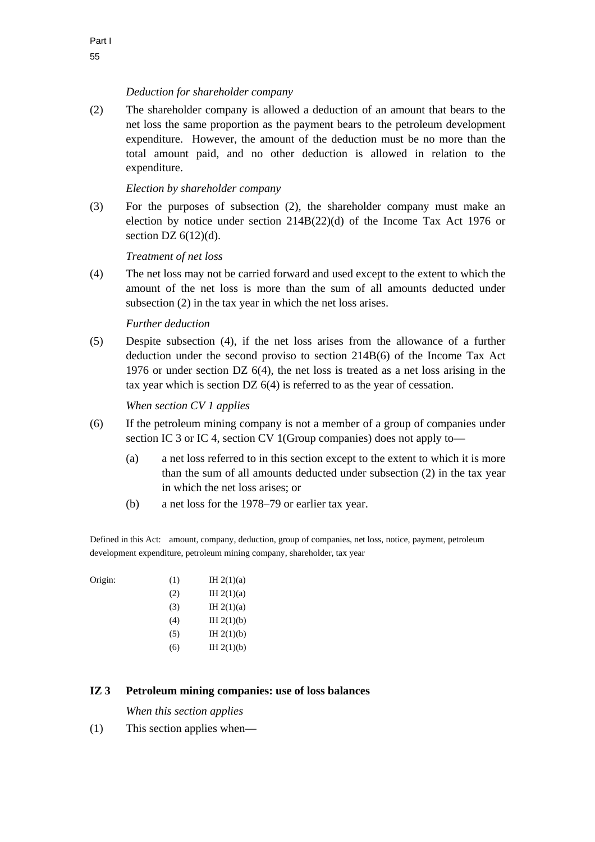# *Deduction for shareholder company*

(2) The shareholder company is allowed a deduction of an amount that bears to the net loss the same proportion as the payment bears to the petroleum development expenditure. However, the amount of the deduction must be no more than the total amount paid, and no other deduction is allowed in relation to the expenditure.

# *Election by shareholder company*

(3) For the purposes of subsection (2), the shareholder company must make an election by notice under section  $214B(22)(d)$  of the Income Tax Act 1976 or section DZ  $6(12)(d)$ .

# *Treatment of net loss*

(4) The net loss may not be carried forward and used except to the extent to which the amount of the net loss is more than the sum of all amounts deducted under subsection (2) in the tax year in which the net loss arises.

# *Further deduction*

(5) Despite subsection (4), if the net loss arises from the allowance of a further deduction under the second proviso to section 214B(6) of the Income Tax Act 1976 or under section DZ 6(4), the net loss is treated as a net loss arising in the tax year which is section DZ 6(4) is referred to as the year of cessation.

*When section CV 1 applies* 

- (6) If the petroleum mining company is not a member of a group of companies under section IC 3 or IC 4, section CV 1(Group companies) does not apply to—
	- (a) a net loss referred to in this section except to the extent to which it is more than the sum of all amounts deducted under subsection (2) in the tax year in which the net loss arises; or
	- (b) a net loss for the 1978–79 or earlier tax year.

Defined in this Act: amount, company, deduction, group of companies, net loss, notice, payment, petroleum development expenditure, petroleum mining company, shareholder, tax year

| (1) | IH $2(1)(a)$ |
|-----|--------------|
| (2) | IH $2(1)(a)$ |
| (3) | IH $2(1)(a)$ |
| (4) | IH $2(1)(b)$ |
| (5) | IH $2(1)(b)$ |
| (6) | IH $2(1)(b)$ |
|     |              |

# **IZ 3 Petroleum mining companies: use of loss balances**

*When this section applies* 

(1) This section applies when—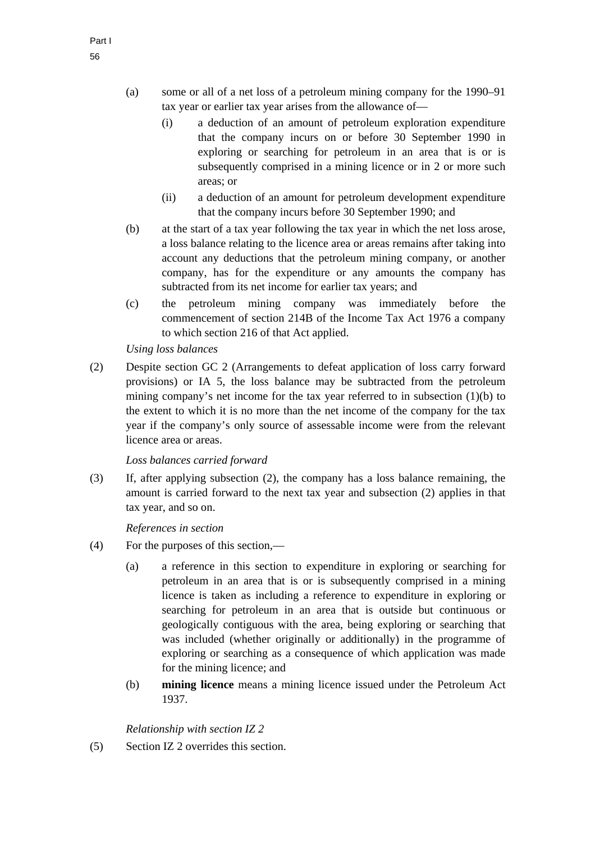- (i) a deduction of an amount of petroleum exploration expenditure that the company incurs on or before 30 September 1990 in exploring or searching for petroleum in an area that is or is subsequently comprised in a mining licence or in 2 or more such areas; or
- (ii) a deduction of an amount for petroleum development expenditure that the company incurs before 30 September 1990; and
- (b) at the start of a tax year following the tax year in which the net loss arose, a loss balance relating to the licence area or areas remains after taking into account any deductions that the petroleum mining company, or another company, has for the expenditure or any amounts the company has subtracted from its net income for earlier tax years; and
- (c) the petroleum mining company was immediately before the commencement of section 214B of the Income Tax Act 1976 a company to which section 216 of that Act applied.

# *Using loss balances*

(2) Despite section GC 2 (Arrangements to defeat application of loss carry forward provisions) or IA 5, the loss balance may be subtracted from the petroleum mining company's net income for the tax year referred to in subsection (1)(b) to the extent to which it is no more than the net income of the company for the tax year if the company's only source of assessable income were from the relevant licence area or areas.

*Loss balances carried forward* 

(3) If, after applying subsection (2), the company has a loss balance remaining, the amount is carried forward to the next tax year and subsection (2) applies in that tax year, and so on.

*References in section* 

- (4) For the purposes of this section,—
	- (a) a reference in this section to expenditure in exploring or searching for petroleum in an area that is or is subsequently comprised in a mining licence is taken as including a reference to expenditure in exploring or searching for petroleum in an area that is outside but continuous or geologically contiguous with the area, being exploring or searching that was included (whether originally or additionally) in the programme of exploring or searching as a consequence of which application was made for the mining licence; and
	- (b) **mining licence** means a mining licence issued under the Petroleum Act 1937.

*Relationship with section IZ 2* 

(5) Section IZ 2 overrides this section.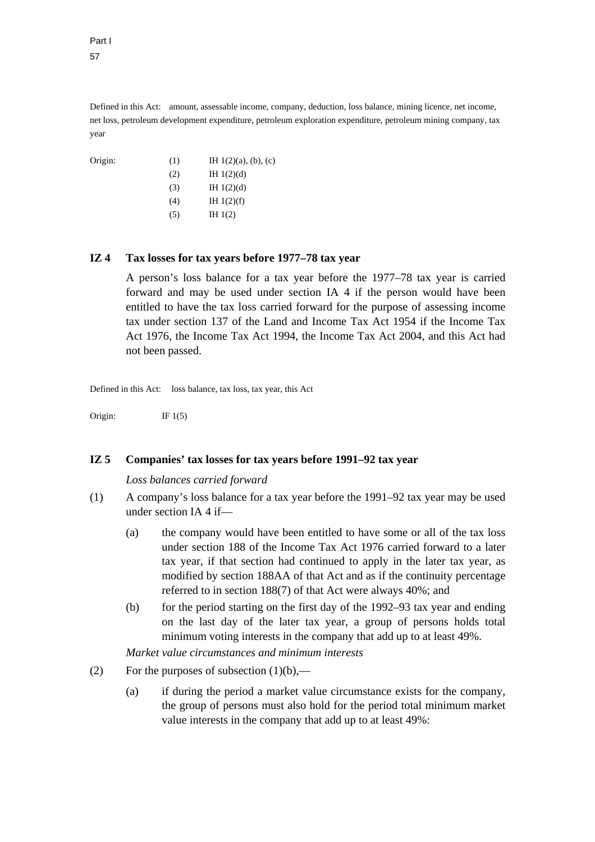Part I 57

Defined in this Act: amount, assessable income, company, deduction, loss balance, mining licence, net income, net loss, petroleum development expenditure, petroleum exploration expenditure, petroleum mining company, tax year

Origin: (1) IH  $1(2)(a)$ , (b), (c)  $(H 1(2)(d))$  $(H 1(2)(d))$  $(H)$  IH 1(2)(f)  $(H 1(2))$ 

# **IZ 4 Tax losses for tax years before 1977–78 tax year**

A person's loss balance for a tax year before the 1977–78 tax year is carried forward and may be used under section IA 4 if the person would have been entitled to have the tax loss carried forward for the purpose of assessing income tax under section 137 of the Land and Income Tax Act 1954 if the Income Tax Act 1976, the Income Tax Act 1994, the Income Tax Act 2004, and this Act had not been passed.

Defined in this Act: loss balance, tax loss, tax year, this Act

Origin: IF  $1(5)$ 

#### **IZ 5 Companies' tax losses for tax years before 1991–92 tax year**

#### *Loss balances carried forward*

- (1) A company's loss balance for a tax year before the 1991–92 tax year may be used under section IA 4 if—
	- (a) the company would have been entitled to have some or all of the tax loss under section 188 of the Income Tax Act 1976 carried forward to a later tax year, if that section had continued to apply in the later tax year, as modified by section 188AA of that Act and as if the continuity percentage referred to in section 188(7) of that Act were always 40%; and
	- (b) for the period starting on the first day of the 1992–93 tax year and ending on the last day of the later tax year, a group of persons holds total minimum voting interests in the company that add up to at least 49%.

*Market value circumstances and minimum interests* 

- (2) For the purposes of subsection  $(1)(b)$ ,—
	- (a) if during the period a market value circumstance exists for the company, the group of persons must also hold for the period total minimum market value interests in the company that add up to at least 49%: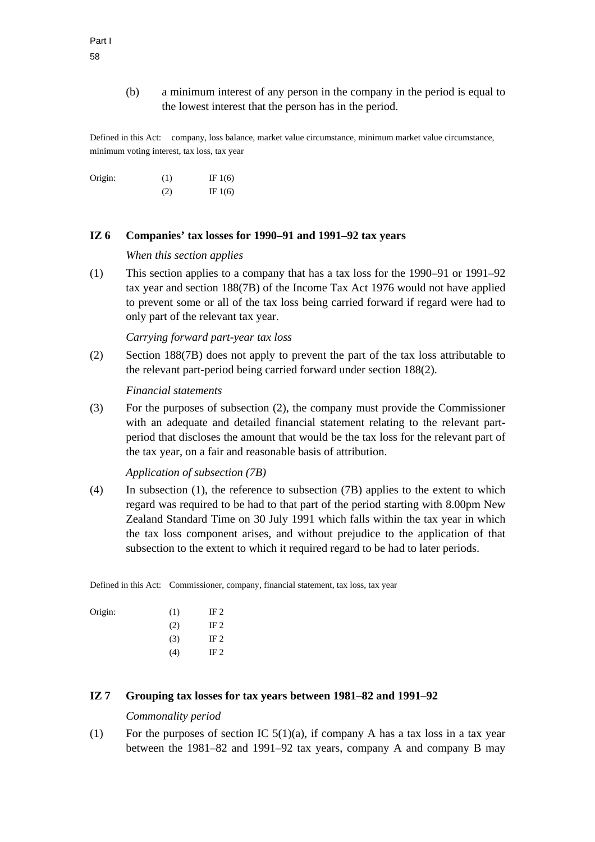(b) a minimum interest of any person in the company in the period is equal to the lowest interest that the person has in the period.

Defined in this Act: company, loss balance, market value circumstance, minimum market value circumstance, minimum voting interest, tax loss, tax year

Origin:  $(1)$  IF 1(6)  $(2)$  IF 1(6)

### **IZ 6 Companies' tax losses for 1990–91 and 1991–92 tax years**

*When this section applies* 

(1) This section applies to a company that has a tax loss for the 1990–91 or 1991–92 tax year and section 188(7B) of the Income Tax Act 1976 would not have applied to prevent some or all of the tax loss being carried forward if regard were had to only part of the relevant tax year.

*Carrying forward part-year tax loss* 

(2) Section 188(7B) does not apply to prevent the part of the tax loss attributable to the relevant part-period being carried forward under section 188(2).

*Financial statements* 

(3) For the purposes of subsection (2), the company must provide the Commissioner with an adequate and detailed financial statement relating to the relevant partperiod that discloses the amount that would be the tax loss for the relevant part of the tax year, on a fair and reasonable basis of attribution.

*Application of subsection (7B)* 

(4) In subsection (1), the reference to subsection (7B) applies to the extent to which regard was required to be had to that part of the period starting with 8.00pm New Zealand Standard Time on 30 July 1991 which falls within the tax year in which the tax loss component arises, and without prejudice to the application of that subsection to the extent to which it required regard to be had to later periods.

Defined in this Act: Commissioner, company, financial statement, tax loss, tax year

| Origin: | (1) | IF $2$ |
|---------|-----|--------|
|         | (2) | IF $2$ |
|         | (3) | IF $2$ |
|         | (4) | IF 2   |

# **IZ 7 Grouping tax losses for tax years between 1981–82 and 1991–92**

#### *Commonality period*

(1) For the purposes of section IC  $5(1)(a)$ , if company A has a tax loss in a tax year between the 1981–82 and 1991–92 tax years, company A and company B may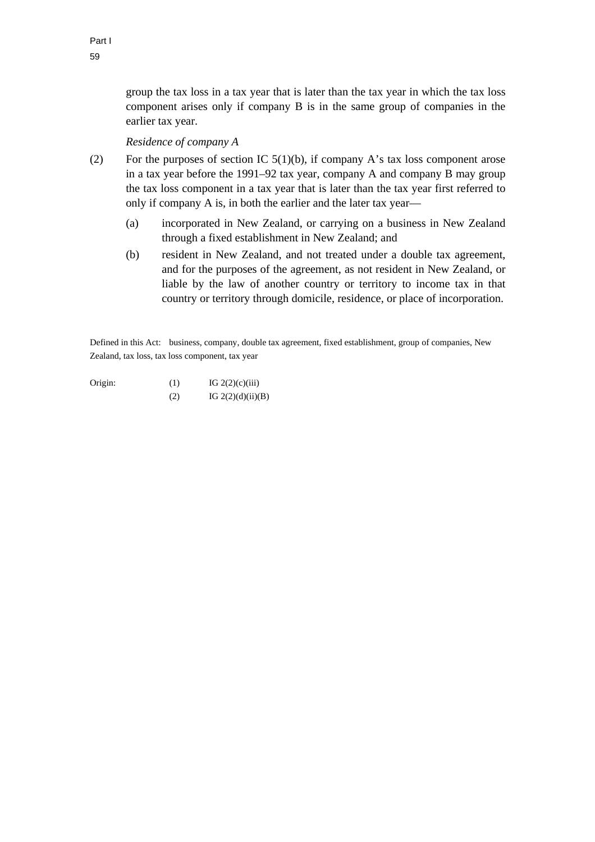group the tax loss in a tax year that is later than the tax year in which the tax loss component arises only if company B is in the same group of companies in the earlier tax year.

# *Residence of company A*

- (2) For the purposes of section IC  $5(1)(b)$ , if company A's tax loss component arose in a tax year before the 1991–92 tax year, company A and company B may group the tax loss component in a tax year that is later than the tax year first referred to only if company A is, in both the earlier and the later tax year—
	- (a) incorporated in New Zealand, or carrying on a business in New Zealand through a fixed establishment in New Zealand; and
	- (b) resident in New Zealand, and not treated under a double tax agreement, and for the purposes of the agreement, as not resident in New Zealand, or liable by the law of another country or territory to income tax in that country or territory through domicile, residence, or place of incorporation.

Defined in this Act: business, company, double tax agreement, fixed establishment, group of companies, New Zealand, tax loss, tax loss component, tax year

Origin:  $(1)$  IG 2(2)(c)(iii) (2)  $IG 2(2)(d)(ii)(B)$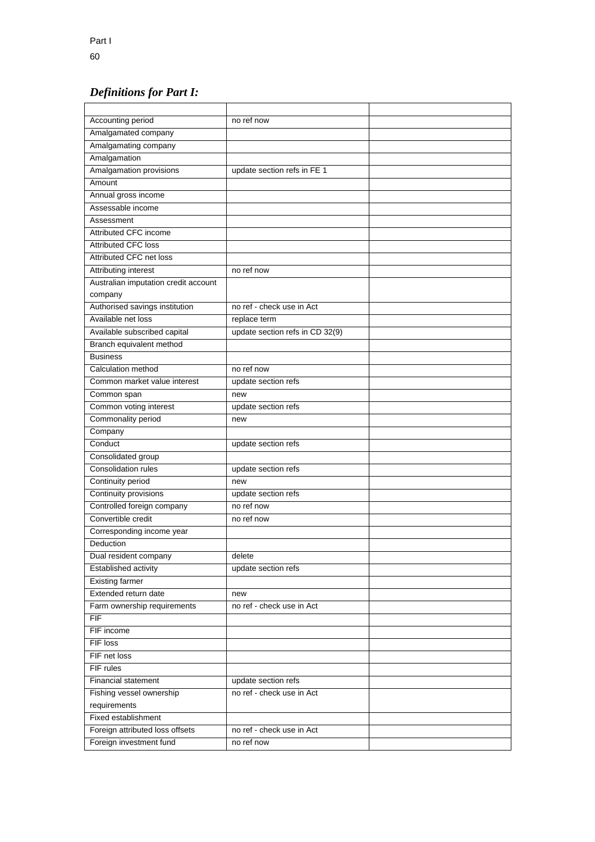# *Definitions for Part I:*

| <b>Accounting period</b>             | no ref now                      |  |
|--------------------------------------|---------------------------------|--|
| Amalgamated company                  |                                 |  |
| Amalgamating company                 |                                 |  |
| Amalgamation                         |                                 |  |
| Amalgamation provisions              | update section refs in FE 1     |  |
| Amount                               |                                 |  |
| Annual gross income                  |                                 |  |
| Assessable income                    |                                 |  |
| Assessment                           |                                 |  |
| Attributed CFC income                |                                 |  |
| <b>Attributed CFC loss</b>           |                                 |  |
| Attributed CFC net loss              |                                 |  |
| Attributing interest                 | no ref now                      |  |
| Australian imputation credit account |                                 |  |
| company                              |                                 |  |
| Authorised savings institution       | no ref - check use in Act       |  |
| Available net loss                   | replace term                    |  |
| Available subscribed capital         | update section refs in CD 32(9) |  |
| Branch equivalent method             |                                 |  |
| <b>Business</b>                      |                                 |  |
| Calculation method                   | no ref now                      |  |
| Common market value interest         | update section refs             |  |
| Common span                          | new                             |  |
| Common voting interest               | update section refs             |  |
| Commonality period                   | new                             |  |
| Company                              |                                 |  |
| Conduct                              | update section refs             |  |
| Consolidated group                   |                                 |  |
| <b>Consolidation rules</b>           | update section refs             |  |
| Continuity period                    | new                             |  |
| Continuity provisions                | update section refs             |  |
| Controlled foreign company           | no ref now                      |  |
| Convertible credit                   | no ref now                      |  |
| Corresponding income year            |                                 |  |
| Deduction                            |                                 |  |
| Dual resident company                | delete                          |  |
| <b>Established activity</b>          | update section refs             |  |
| <b>Existing farmer</b>               |                                 |  |
| Extended return date                 | new                             |  |
| Farm ownership requirements          | no ref - check use in Act       |  |
| <b>FIF</b>                           |                                 |  |
| FIF income                           |                                 |  |
| FIF loss                             |                                 |  |
| FIF net loss                         |                                 |  |
| FIF rules                            |                                 |  |
| <b>Financial statement</b>           | update section refs             |  |
| Fishing vessel ownership             | no ref - check use in Act       |  |
| requirements                         |                                 |  |
| Fixed establishment                  |                                 |  |
| Foreign attributed loss offsets      | no ref - check use in Act       |  |
| Foreign investment fund              | no ref now                      |  |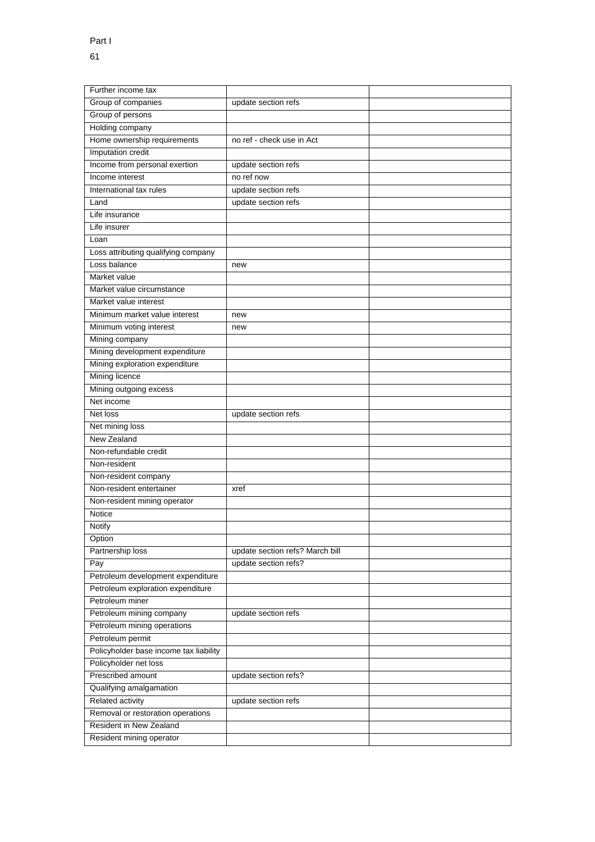| Further income tax                     |                                 |  |
|----------------------------------------|---------------------------------|--|
| Group of companies                     | update section refs             |  |
| Group of persons                       |                                 |  |
| Holding company                        |                                 |  |
| Home ownership requirements            | no ref - check use in Act       |  |
| Imputation credit                      |                                 |  |
| Income from personal exertion          | update section refs             |  |
| Income interest                        | no ref now                      |  |
| International tax rules                | update section refs             |  |
| Land                                   | update section refs             |  |
| Life insurance                         |                                 |  |
| Life insurer                           |                                 |  |
| Loan                                   |                                 |  |
| Loss attributing qualifying company    |                                 |  |
| Loss balance                           | new                             |  |
| Market value                           |                                 |  |
| Market value circumstance              |                                 |  |
| Market value interest                  |                                 |  |
| Minimum market value interest          | new                             |  |
| Minimum voting interest                | new                             |  |
| Mining company                         |                                 |  |
| Mining development expenditure         |                                 |  |
| Mining exploration expenditure         |                                 |  |
| <b>Mining licence</b>                  |                                 |  |
| Mining outgoing excess                 |                                 |  |
| Net income                             |                                 |  |
| Net loss                               | update section refs             |  |
| Net mining loss                        |                                 |  |
| New Zealand                            |                                 |  |
| Non-refundable credit                  |                                 |  |
| Non-resident                           |                                 |  |
| Non-resident company                   |                                 |  |
| Non-resident entertainer               | xref                            |  |
| Non-resident mining operator           |                                 |  |
| Notice                                 |                                 |  |
| Notify                                 |                                 |  |
| Option                                 |                                 |  |
| Partnership loss                       | update section refs? March bill |  |
| Pay                                    | update section refs?            |  |
| Petroleum development expenditure      |                                 |  |
| Petroleum exploration expenditure      |                                 |  |
| Petroleum miner                        |                                 |  |
| Petroleum mining company               | update section refs             |  |
| Petroleum mining operations            |                                 |  |
| Petroleum permit                       |                                 |  |
| Policyholder base income tax liability |                                 |  |
| Policyholder net loss                  |                                 |  |
| Prescribed amount                      | update section refs?            |  |
| Qualifying amalgamation                |                                 |  |
| Related activity                       | update section refs             |  |
| Removal or restoration operations      |                                 |  |
| Resident in New Zealand                |                                 |  |
| Resident mining operator               |                                 |  |
|                                        |                                 |  |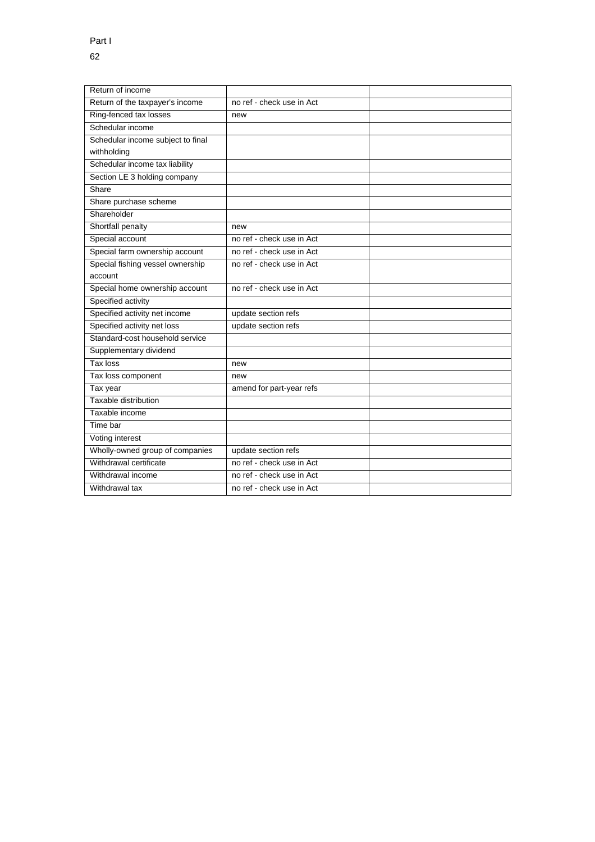| Return of income                  |                           |  |
|-----------------------------------|---------------------------|--|
| Return of the taxpayer's income   | no ref - check use in Act |  |
| Ring-fenced tax losses            | new                       |  |
| Schedular income                  |                           |  |
| Schedular income subject to final |                           |  |
| withholding                       |                           |  |
| Schedular income tax liability    |                           |  |
| Section LE 3 holding company      |                           |  |
| Share                             |                           |  |
| Share purchase scheme             |                           |  |
| Shareholder                       |                           |  |
| Shortfall penalty                 | new                       |  |
| Special account                   | no ref - check use in Act |  |
| Special farm ownership account    | no ref - check use in Act |  |
| Special fishing vessel ownership  | no ref - check use in Act |  |
| account                           |                           |  |
| Special home ownership account    | no ref - check use in Act |  |
| Specified activity                |                           |  |
| Specified activity net income     | update section refs       |  |
| Specified activity net loss       | update section refs       |  |
| Standard-cost household service   |                           |  |
| Supplementary dividend            |                           |  |
| Tax loss                          | new                       |  |
| Tax loss component                | new                       |  |
| Tax year                          | amend for part-year refs  |  |
| Taxable distribution              |                           |  |
| Taxable income                    |                           |  |
| Time bar                          |                           |  |
| Voting interest                   |                           |  |
| Wholly-owned group of companies   | update section refs       |  |
| Withdrawal certificate            | no ref - check use in Act |  |
| Withdrawal income                 | no ref - check use in Act |  |
| Withdrawal tax                    | no ref - check use in Act |  |